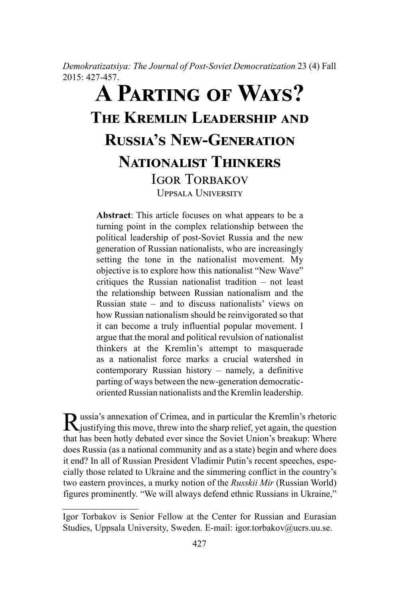*Demokratizatsiya: The Journal of Post-Soviet Democratization* 23 (4) Fall 2015: 427-457.

# **A Parting of Ways? The Kremlin Leadership and Russia's New-Generation Nationalist Thinkers IGOR TORBAKOV** Uppsala University

**Abstract**: This article focuses on what appears to be a turning point in the complex relationship between the political leadership of post-Soviet Russia and the new generation of Russian nationalists, who are increasingly setting the tone in the nationalist movement. My objective is to explore how this nationalist "New Wave" critiques the Russian nationalist tradition – not least the relationship between Russian nationalism and the Russian state – and to discuss nationalists' views on how Russian nationalism should be reinvigorated so that it can become a truly influential popular movement. I argue that the moral and political revulsion of nationalist thinkers at the Kremlin's attempt to masquerade as a nationalist force marks a crucial watershed in contemporary Russian history – namely, a definitive parting of ways between the new-generation democraticoriented Russian nationalists and the Kremlin leadership.

Russia's annexation of Crimea, and in particular the Kremlin's rhetoric justifying this move, threw into the sharp relief, yet again, the question that has been hotly debated ever since the Soviet Union's breakup: Where does Russia (as a national community and as a state) begin and where does it end? In all of Russian President Vladimir Putin's recent speeches, especially those related to Ukraine and the simmering conflict in the country's two eastern provinces, a murky notion of the *Russkii Mir* (Russian World) figures prominently. "We will always defend ethnic Russians in Ukraine,"

Igor Torbakov is Senior Fellow at the Center for Russian and Eurasian Studies, Uppsala University, Sweden. E-mail: igor.torbakov@ucrs.uu.se.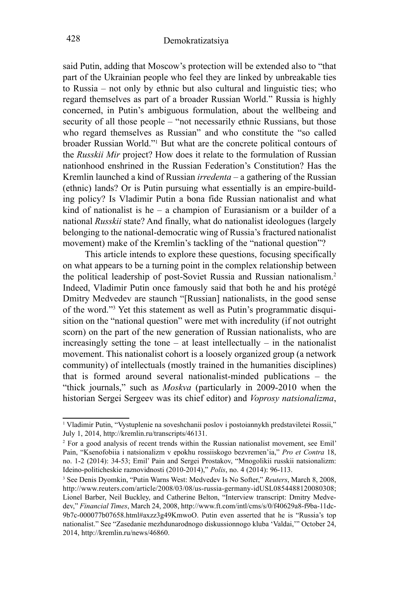said Putin, adding that Moscow's protection will be extended also to "that part of the Ukrainian people who feel they are linked by unbreakable ties to Russia – not only by ethnic but also cultural and linguistic ties; who regard themselves as part of a broader Russian World." Russia is highly concerned, in Putin's ambiguous formulation, about the wellbeing and security of all those people – "not necessarily ethnic Russians, but those who regard themselves as Russian" and who constitute the "so called broader Russian World."<sup>1</sup> But what are the concrete political contours of the *Russkii Mir* project? How does it relate to the formulation of Russian nationhood enshrined in the Russian Federation's Constitution? Has the Kremlin launched a kind of Russian *irredenta* – a gathering of the Russian (ethnic) lands? Or is Putin pursuing what essentially is an empire-building policy? Is Vladimir Putin a bona fide Russian nationalist and what kind of nationalist is he – a champion of Eurasianism or a builder of a national *Russkii* state? And finally, what do nationalist ideologues (largely belonging to the national-democratic wing of Russia's fractured nationalist movement) make of the Kremlin's tackling of the "national question"?

This article intends to explore these questions, focusing specifically on what appears to be a turning point in the complex relationship between the political leadership of post-Soviet Russia and Russian nationalism.<sup>2</sup> Indeed, Vladimir Putin once famously said that both he and his protégé Dmitry Medvedev are staunch "[Russian] nationalists, in the good sense of the word."3 Yet this statement as well as Putin's programmatic disquisition on the "national question" were met with incredulity (if not outright scorn) on the part of the new generation of Russian nationalists, who are increasingly setting the tone – at least intellectually – in the nationalist movement. This nationalist cohort is a loosely organized group (a network community) of intellectuals (mostly trained in the humanities disciplines) that is formed around several nationalist-minded publications – the "thick journals," such as *Moskva* (particularly in 2009-2010 when the historian Sergei Sergeev was its chief editor) and *Voprosy natsionalizma*,

<sup>1</sup> Vladimir Putin, "Vystuplenie na soveshchanii poslov i postoiannykh predstaviletei Rossii," July 1, 2014, http://kremlin.ru/transcripts/46131.

<sup>2</sup> For a good analysis of recent trends within the Russian nationalist movement, see Emil' Pain, "Ksenofobiia i natsionalizm v epokhu rossiiskogo bezvremen'ia," *Pro et Contra* 18, no. 1-2 (2014): 34-53; Emil' Pain and Sergei Prostakov, "Mnogolikii russkii natsionalizm: Ideino-politicheskie raznovidnosti (2010-2014)," *Polis*, no. 4 (2014): 96-113.

<sup>3</sup> See Denis Dyomkin, "Putin Warns West: Medvedev Is No Softer," *Reuters*, March 8, 2008, http://www.reuters.com/article/2008/03/08/us-russia-germany-idUSL0854488120080308; Lionel Barber, Neil Buckley, and Catherine Belton, "Interview transcript: Dmitry Medvedev," *Financial Times*, March 24, 2008, http://www.ft.com/intl/cms/s/0/f40629a8-f9ba-11dc-9b7c-000077b07658.html#axzz3g49KmwoO. Putin even asserted that he is "Russia's top nationalist." See "Zasedanie mezhdunarodnogo diskussionnogo kluba 'Valdai,'" October 24, 2014, http://kremlin.ru/news/46860.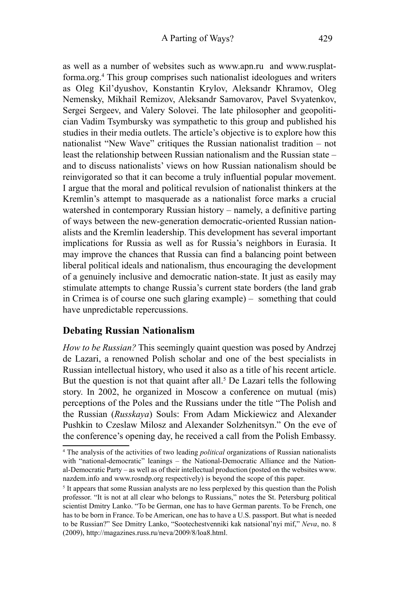as well as a number of websites such as www.apn.ru and www.rusplatforma.org.<sup>4</sup> This group comprises such nationalist ideologues and writers as Oleg Kil'dyushov, Konstantin Krylov, Aleksandr Khramov, Oleg Nemensky, Mikhail Remizov, Aleksandr Samovarov, Pavel Svyatenkov, Sergei Sergeev, and Valery Solovei. The late philosopher and geopolitician Vadim Tsymbursky was sympathetic to this group and published his studies in their media outlets. The article's objective is to explore how this nationalist "New Wave" critiques the Russian nationalist tradition – not least the relationship between Russian nationalism and the Russian state – and to discuss nationalists' views on how Russian nationalism should be reinvigorated so that it can become a truly influential popular movement. I argue that the moral and political revulsion of nationalist thinkers at the Kremlin's attempt to masquerade as a nationalist force marks a crucial watershed in contemporary Russian history – namely, a definitive parting of ways between the new-generation democratic-oriented Russian nationalists and the Kremlin leadership. This development has several important implications for Russia as well as for Russia's neighbors in Eurasia. It may improve the chances that Russia can find a balancing point between liberal political ideals and nationalism, thus encouraging the development of a genuinely inclusive and democratic nation-state. It just as easily may stimulate attempts to change Russia's current state borders (the land grab in Crimea is of course one such glaring example) – something that could have unpredictable repercussions.

## **Debating Russian Nationalism**

*How to be Russian?* This seemingly quaint question was posed by Andrzej de Lazari, a renowned Polish scholar and one of the best specialists in Russian intellectual history, who used it also as a title of his recent article. But the question is not that quaint after all.<sup>5</sup> De Lazari tells the following story. In 2002, he organized in Moscow a conference on mutual (mis) perceptions of the Poles and the Russians under the title "The Polish and the Russian (*Russkaya*) Souls: From Adam Mickiewicz and Alexander Pushkin to Czeslaw Milosz and Alexander Solzhenitsyn." On the eve of the conference's opening day, he received a call from the Polish Embassy.

<sup>4</sup> The analysis of the activities of two leading *political* organizations of Russian nationalists with "national-democratic" leanings – the National-Democratic Alliance and the National-Democratic Party – as well as of their intellectual production (posted on the websites www. nazdem.info and www.rosndp.org respectively) is beyond the scope of this paper.

<sup>&</sup>lt;sup>5</sup> It appears that some Russian analysts are no less perplexed by this question than the Polish professor. "It is not at all clear who belongs to Russians," notes the St. Petersburg political scientist Dmitry Lanko. "To be German, one has to have German parents. To be French, one has to be born in France. To be American, one has to have a U.S. passport. But what is needed to be Russian?" See Dmitry Lanko, "Sootechestvenniki kak natsional'nyi mif," *Neva*, no. 8 (2009), http://magazines.russ.ru/neva/2009/8/loa8.html.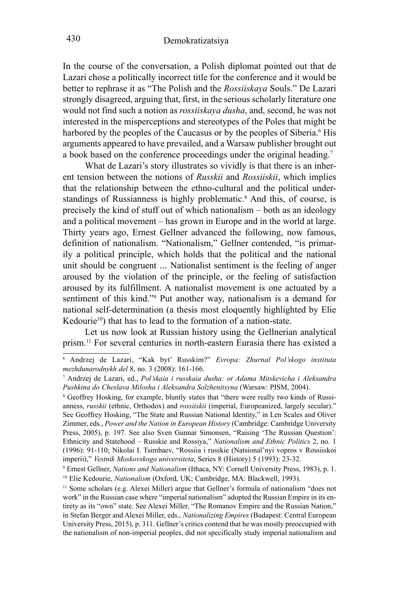In the course of the conversation, a Polish diplomat pointed out that de Lazari chose a politically incorrect title for the conference and it would be better to rephrase it as "The Polish and the *Rossiiskaya* Souls." De Lazari strongly disagreed, arguing that, first, in the serious scholarly literature one would not find such a notion as *rossiiskaya dusha*, and, second, he was not interested in the misperceptions and stereotypes of the Poles that might be harbored by the peoples of the Caucasus or by the peoples of Siberia.<sup>6</sup> His arguments appeared to have prevailed, and a Warsaw publisher brought out a book based on the conference proceedings under the original heading.<sup>7</sup>

What de Lazari's story illustrates so vividly is that there is an inherent tension between the notions of *Russkii* and *Rossiiskii*, which implies that the relationship between the ethno-cultural and the political understandings of Russianness is highly problematic.<sup>8</sup> And this, of course, is precisely the kind of stuff out of which nationalism – both as an ideology and a political movement – has grown in Europe and in the world at large. Thirty years ago, Ernest Gellner advanced the following, now famous, definition of nationalism. "Nationalism," Gellner contended, "is primarily a political principle, which holds that the political and the national unit should be congruent ... Nationalist sentiment is the feeling of anger aroused by the violation of the principle, or the feeling of satisfaction aroused by its fulfillment. A nationalist movement is one actuated by a sentiment of this kind."<sup>9</sup> Put another way, nationalism is a demand for national self-determination (a thesis most eloquently highlighted by Elie Kedourie<sup>10</sup>) that has to lead to the formation of a nation-state.

Let us now look at Russian history using the Gellnerian analytical prism.<sup>11</sup> For several centuries in north-eastern Eurasia there has existed a

<sup>6</sup> Andrzej de Lazari, "Kak byt' Russkim?" *Evropa: Zhurnal Pol'skogo instituta mezhdunarodnykh del* 8, no. 3 (2008): 161-166.

<sup>7</sup> Andrzej de Lazari, ed., *Pol'skaia i russkaia dusha: ot Adama Mitskevicha i Aleksandra Pushkina do Cheslava Milosha i Aleksandra Solzhenitsyna* (Warsaw: PISM, 2004).

<sup>&</sup>lt;sup>8</sup> Geoffrey Hosking, for example, bluntly states that "there were really two kinds of Russianness, *russkii* (ethnic, Orthodox) and *rossiiskii* (imperial, Europeanized, largely secular)." See Geoffrey Hosking, "The State and Russian National Identity," in Len Scales and Oliver Zimmer, eds., *Power and the Nation in European History* (Cambridge: Cambridge University Press, 2005), p. 197. See also Sven Gunnar Simonsen, "Raising 'The Russian Question': Ethnicity and Statehood – Russkie and Rossiya," *Nationalism and Ethnic Politics* 2, no. 1 (1996): 91-110; Nikolai I. Tsimbaev, "Rossiia i russkie (Natsional'nyi vopros v Rossiiskoi imperii)," *Vestnik Moskovskogo universiteta*, Series 8 (History) 5 (1993): 23-32.

Ernest Gellner, *Nations and Nationalism* (Ithaca, NY: Cornell University Press, 1983), p. 1. <sup>10</sup> Elie Kedourie, *Nationalism* (Oxford, UK; Cambridge, MA: Blackwell, 1993).

<sup>11</sup> Some scholars (e.g. Alexei Miller) argue that Gellner's formula of nationalism "does not work" in the Russian case where "imperial nationalism" adopted the Russian Empire in its entirety as its "own" state. See Alexei Miller, "The Romanov Empire and the Russian Nation," in Stefan Berger and Alexei Miller, eds., *Nationalizing Empires* (Budapest: Central European University Press, 2015), p. 311. Gellner's critics contend that he was mostly preoccupied with the nationalism of non-imperial peoples, did not specifically study imperial nationalism and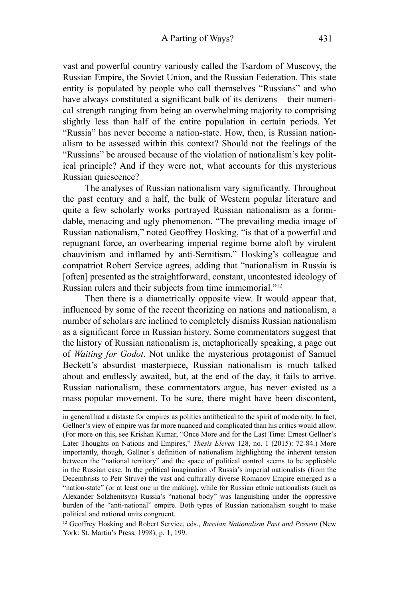vast and powerful country variously called the Tsardom of Muscovy, the Russian Empire, the Soviet Union, and the Russian Federation. This state entity is populated by people who call themselves "Russians" and who have always constituted a significant bulk of its denizens – their numerical strength ranging from being an overwhelming majority to comprising slightly less than half of the entire population in certain periods. Yet "Russia" has never become a nation-state. How, then, is Russian nationalism to be assessed within this context? Should not the feelings of the "Russians" be aroused because of the violation of nationalism's key political principle? And if they were not, what accounts for this mysterious Russian quiescence?

The analyses of Russian nationalism vary significantly. Throughout the past century and a half, the bulk of Western popular literature and quite a few scholarly works portrayed Russian nationalism as a formidable, menacing and ugly phenomenon. "The prevailing media image of Russian nationalism," noted Geoffrey Hosking, "is that of a powerful and repugnant force, an overbearing imperial regime borne aloft by virulent chauvinism and inflamed by anti-Semitism." Hosking's colleague and compatriot Robert Service agrees, adding that "nationalism in Russia is [often] presented as the straightforward, constant, uncontested ideology of Russian rulers and their subjects from time immemorial."<sup>12</sup>

Then there is a diametrically opposite view. It would appear that, influenced by some of the recent theorizing on nations and nationalism, a number of scholars are inclined to completely dismiss Russian nationalism as a significant force in Russian history. Some commentators suggest that the history of Russian nationalism is, metaphorically speaking, a page out of *Waiting for Godot*. Not unlike the mysterious protagonist of Samuel Beckett's absurdist masterpiece, Russian nationalism is much talked about and endlessly awaited, but, at the end of the day, it fails to arrive. Russian nationalism, these commentators argue, has never existed as a mass popular movement. To be sure, there might have been discontent,

in general had a distaste for empires as polities antithetical to the spirit of modernity. In fact, Gellner's view of empire was far more nuanced and complicated than his critics would allow. (For more on this, see Krishan Kumar, "Once More and for the Last Time: Ernest Gellner's Later Thoughts on Nations and Empires," *Thesis Eleven* 128, no. 1 (2015): 72-84.) More importantly, though, Gellner's definition of nationalism highlighting the inherent tension between the "national territory" and the space of political control seems to be applicable in the Russian case. In the political imagination of Russia's imperial nationalists (from the Decembrists to Petr Struve) the vast and culturally diverse Romanov Empire emerged as a "nation-state" (or at least one in the making), while for Russian ethnic nationalists (such as Alexander Solzhenitsyn) Russia's "national body" was languishing under the oppressive burden of the "anti-national" empire. Both types of Russian nationalism sought to make political and national units congruent.

<sup>12</sup> Geoffrey Hosking and Robert Service, eds., *Russian Nationalism Past and Present* (New York: St. Martin's Press, 1998), p. 1, 199.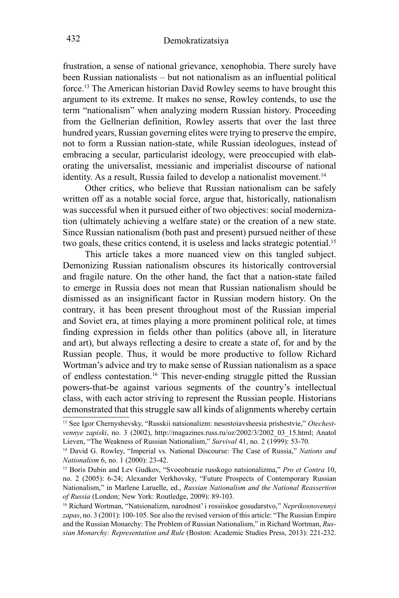frustration, a sense of national grievance, xenophobia. There surely have been Russian nationalists – but not nationalism as an influential political force.13 The American historian David Rowley seems to have brought this argument to its extreme. It makes no sense, Rowley contends, to use the term "nationalism" when analyzing modern Russian history. Proceeding from the Gellnerian definition, Rowley asserts that over the last three hundred years, Russian governing elites were trying to preserve the empire, not to form a Russian nation-state, while Russian ideologues, instead of embracing a secular, particularist ideology, were preoccupied with elaborating the universalist, messianic and imperialist discourse of national identity. As a result, Russia failed to develop a nationalist movement.<sup>14</sup>

Other critics, who believe that Russian nationalism can be safely written off as a notable social force, argue that, historically, nationalism was successful when it pursued either of two objectives: social modernization (ultimately achieving a welfare state) or the creation of a new state. Since Russian nationalism (both past and present) pursued neither of these two goals, these critics contend, it is useless and lacks strategic potential.<sup>15</sup>

This article takes a more nuanced view on this tangled subject. Demonizing Russian nationalism obscures its historically controversial and fragile nature. On the other hand, the fact that a nation-state failed to emerge in Russia does not mean that Russian nationalism should be dismissed as an insignificant factor in Russian modern history. On the contrary, it has been present throughout most of the Russian imperial and Soviet era, at times playing a more prominent political role, at times finding expression in fields other than politics (above all, in literature and art), but always reflecting a desire to create a state of, for and by the Russian people. Thus, it would be more productive to follow Richard Wortman's advice and try to make sense of Russian nationalism as a space of endless contestation.16 This never-ending struggle pitted the Russian powers-that-be against various segments of the country's intellectual class, with each actor striving to represent the Russian people. Historians demonstrated that this struggle saw all kinds of alignments whereby certain

<sup>13</sup> See Igor Chernyshevsky, "Russkii natsionalizm: nesostoiavsheesia prishestvie," *Otechestvennye zapiski*, no. 3 (2002), http://magazines.russ.ru/oz/2002/3/2002\_03\_15.html; Anatol Lieven, "The Weakness of Russian Nationalism," *Survival* 41, no. 2 (1999): 53-70.

<sup>14</sup> David G. Rowley, "Imperial vs. National Discourse: The Case of Russia," *Nations and Nationalism* 6, no. 1 (2000): 23-42.

<sup>&</sup>lt;sup>15</sup> Boris Dubin and Lev Gudkov, "Svoeobrazie russkogo natsionalizma," Pro et Contra 10, no. 2 (2005): 6-24; Alexander Verkhovsky, "Future Prospects of Contemporary Russian Nationalism," in Marlene Laruelle, ed., *Russian Nationalism and the National Reassertion of Russia* (London; New York: Routledge, 2009): 89-103.

<sup>16</sup> Richard Wortman, "Natsionalizm, narodnost' i rossiiskoe gosudarstvo," *Neprikosnovennyi zapas*, no. 3 (2001): 100-105. See also the revised version of this article: "The Russian Empire and the Russian Monarchy: The Problem of Russian Nationalism," in Richard Wortman, *Russian Monarchy: Representation and Rule* (Boston: Academic Studies Press, 2013): 221-232.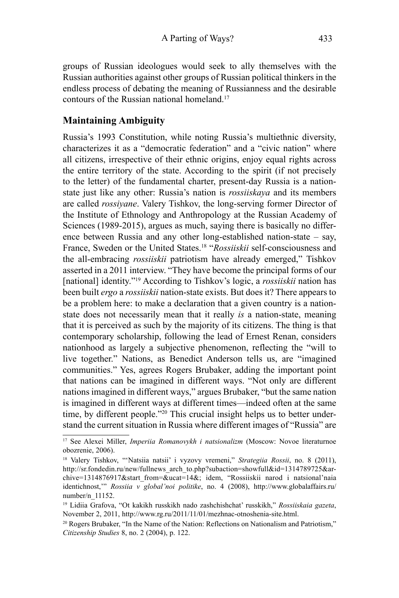groups of Russian ideologues would seek to ally themselves with the Russian authorities against other groups of Russian political thinkers in the endless process of debating the meaning of Russianness and the desirable contours of the Russian national homeland.<sup>17</sup>

#### **Maintaining Ambiguity**

Russia's 1993 Constitution, while noting Russia's multiethnic diversity, characterizes it as a "democratic federation" and a "civic nation" where all citizens, irrespective of their ethnic origins, enjoy equal rights across the entire territory of the state. According to the spirit (if not precisely to the letter) of the fundamental charter, present-day Russia is a nationstate just like any other: Russia's nation is *rossiiskaya* and its members are called *rossiyane*. Valery Tishkov, the long-serving former Director of the Institute of Ethnology and Anthropology at the Russian Academy of Sciences (1989-2015), argues as much, saying there is basically no difference between Russia and any other long-established nation-state – say, France, Sweden or the United States.<sup>18</sup> "*Rossiiskii* self-consciousness and the all-embracing *rossiiskii* patriotism have already emerged," Tishkov asserted in a 2011 interview. "They have become the principal forms of our [national] identity."19 According to Tishkov's logic, a *rossiiskii* nation has been built *ergo* a *rossiiskii* nation-state exists. But does it? There appears to be a problem here: to make a declaration that a given country is a nationstate does not necessarily mean that it really *is* a nation-state, meaning that it is perceived as such by the majority of its citizens. The thing is that contemporary scholarship, following the lead of Ernest Renan, considers nationhood as largely a subjective phenomenon, reflecting the "will to live together." Nations, as Benedict Anderson tells us, are "imagined communities." Yes, agrees Rogers Brubaker, adding the important point that nations can be imagined in different ways. "Not only are different nations imagined in different ways," argues Brubaker, "but the same nation is imagined in different ways at different times—indeed often at the same time, by different people."<sup>20</sup> This crucial insight helps us to better understand the current situation in Russia where different images of "Russia" are

<sup>17</sup> See Alexei Miller, *Imperiia Romanovykh i natsionalizm* (Moscow: Novoe literaturnoe obozrenie, 2006).

<sup>18</sup> Valery Tishkov, "'Natsiia natsii' i vyzovy vremeni," *Strategiia Rossii*, no. 8 (2011), http://sr.fondedin.ru/new/fullnews\_arch\_to.php?subaction=showfull&id=1314789725&archive=1314876917&start\_from=&ucat=14&; idem, "Rossiiskii narod i natsional'naia identichnost,'" *Rossiia v global'noi politike*, no. 4 (2008), http://www.globalaffairs.ru/ number/n\_11152.

<sup>19</sup> Lidiia Grafova, "Ot kakikh russkikh nado zashchishchat' russkikh," *Rossiiskaia gazeta*, November 2, 2011, http://www.rg.ru/2011/11/01/mezhnac-otnoshenia-site.html.

<sup>&</sup>lt;sup>20</sup> Rogers Brubaker, "In the Name of the Nation: Reflections on Nationalism and Patriotism," *Citizenship Studies* 8, no. 2 (2004), p. 122.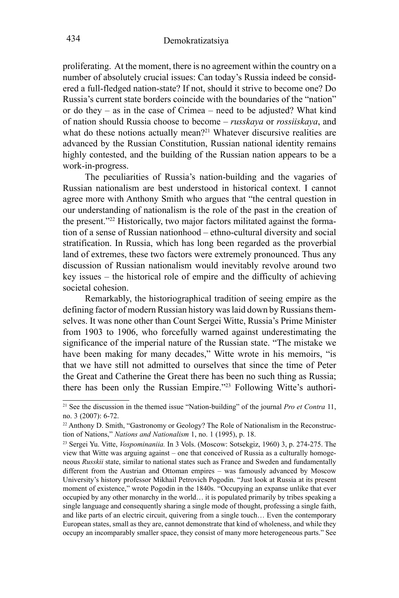proliferating. At the moment, there is no agreement within the country on a number of absolutely crucial issues: Can today's Russia indeed be considered a full-fledged nation-state? If not, should it strive to become one? Do Russia's current state borders coincide with the boundaries of the "nation" or do they – as in the case of Crimea – need to be adjusted? What kind of nation should Russia choose to become – *russkaya* or *rossiiskaya*, and what do these notions actually mean?<sup>21</sup> Whatever discursive realities are advanced by the Russian Constitution, Russian national identity remains highly contested, and the building of the Russian nation appears to be a work-in-progress.

The peculiarities of Russia's nation-building and the vagaries of Russian nationalism are best understood in historical context. I cannot agree more with Anthony Smith who argues that "the central question in our understanding of nationalism is the role of the past in the creation of the present."22 Historically, two major factors militated against the formation of a sense of Russian nationhood – ethno-cultural diversity and social stratification. In Russia, which has long been regarded as the proverbial land of extremes, these two factors were extremely pronounced. Thus any discussion of Russian nationalism would inevitably revolve around two key issues – the historical role of empire and the difficulty of achieving societal cohesion.

Remarkably, the historiographical tradition of seeing empire as the defining factor of modern Russian history was laid down by Russians themselves. It was none other than Count Sergei Witte, Russia's Prime Minister from 1903 to 1906, who forcefully warned against underestimating the significance of the imperial nature of the Russian state. "The mistake we have been making for many decades," Witte wrote in his memoirs, "is that we have still not admitted to ourselves that since the time of Peter the Great and Catherine the Great there has been no such thing as Russia; there has been only the Russian Empire."23 Following Witte's authori-

<sup>21</sup> See the discussion in the themed issue "Nation-building" of the journal *Pro et Contra* 11, no. 3 (2007): 6-72.

<sup>&</sup>lt;sup>22</sup> Anthony D. Smith, "Gastronomy or Geology? The Role of Nationalism in the Reconstruction of Nations," *Nations and Nationalism* 1, no. 1 (1995), p. 18.<br><sup>23</sup> Sergei Yu. Vitte, *Vospominaniia*. In 3 Vols. (Moscow: Sotsekgiz, 1960) 3, p. 274-275. The

view that Witte was arguing against – one that conceived of Russia as a culturally homogeneous *Russkii* state, similar to national states such as France and Sweden and fundamentally different from the Austrian and Ottoman empires – was famously advanced by Moscow University's history professor Mikhail Petrovich Pogodin. "Just look at Russia at its present moment of existence," wrote Pogodin in the 1840s. "Occupying an expanse unlike that ever occupied by any other monarchy in the world… it is populated primarily by tribes speaking a single language and consequently sharing a single mode of thought, professing a single faith, and like parts of an electric circuit, quivering from a single touch… Even the contemporary European states, small as they are, cannot demonstrate that kind of wholeness, and while they occupy an incomparably smaller space, they consist of many more heterogeneous parts." See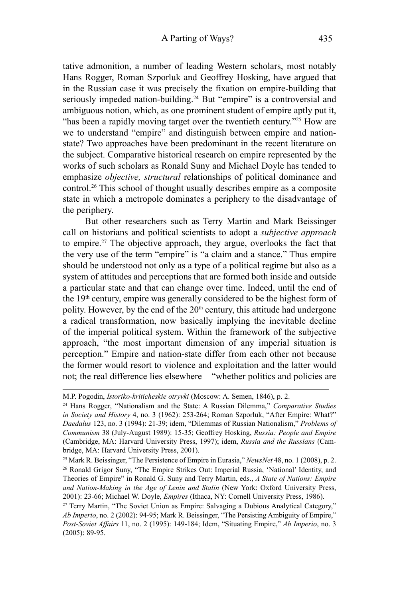tative admonition, a number of leading Western scholars, most notably Hans Rogger, Roman Szporluk and Geoffrey Hosking, have argued that in the Russian case it was precisely the fixation on empire-building that seriously impeded nation-building.<sup>24</sup> But "empire" is a controversial and ambiguous notion, which, as one prominent student of empire aptly put it, "has been a rapidly moving target over the twentieth century."<sup>25</sup> How are we to understand "empire" and distinguish between empire and nationstate? Two approaches have been predominant in the recent literature on the subject. Comparative historical research on empire represented by the works of such scholars as Ronald Suny and Michael Doyle has tended to emphasize *objective, structural* relationships of political dominance and control.26 This school of thought usually describes empire as a composite state in which a metropole dominates a periphery to the disadvantage of the periphery.

But other researchers such as Terry Martin and Mark Beissinger call on historians and political scientists to adopt a *subjective approach* to empire.<sup>27</sup> The objective approach, they argue, overlooks the fact that the very use of the term "empire" is "a claim and a stance." Thus empire should be understood not only as a type of a political regime but also as a system of attitudes and perceptions that are formed both inside and outside a particular state and that can change over time. Indeed, until the end of the 19<sup>th</sup> century, empire was generally considered to be the highest form of polity. However, by the end of the  $20<sup>th</sup>$  century, this attitude had undergone a radical transformation, now basically implying the inevitable decline of the imperial political system. Within the framework of the subjective approach, "the most important dimension of any imperial situation is perception." Empire and nation-state differ from each other not because the former would resort to violence and exploitation and the latter would not; the real difference lies elsewhere – "whether politics and policies are

M.P. Pogodin, *Istoriko-kriticheskie otryvki* (Moscow: A. Semen, 1846), p. 2.

<sup>24</sup> Hans Rogger, "Nationalism and the State: A Russian Dilemma," *Comparative Studies in Society and History* 4, no. 3 (1962): 253-264; Roman Szporluk, "After Empire: What?" *Daedalus* 123, no. 3 (1994): 21-39; idem, "Dilemmas of Russian Nationalism," *Problems of Communism* 38 (July-August 1989): 15-35; Geoffrey Hosking, *Russia: People and Empire* (Cambridge, MA: Harvard University Press, 1997); idem, *Russia and the Russians* (Cambridge, MA: Harvard University Press, 2001).

<sup>&</sup>lt;sup>25</sup> Mark R. Beissinger, "The Persistence of Empire in Eurasia," *NewsNet* 48, no. 1 (2008), p. 2. <sup>26</sup> Ronald Grigor Suny, "The Empire Strikes Out: Imperial Russia, 'National' Identity, and Theories of Empire" in Ronald G. Suny and Terry Martin, eds., *A State of Nations: Empire and Nation-Making in the Age of Lenin and Stalin* (New York: Oxford University Press, 2001): 23-66; Michael W. Doyle, *Empires* (Ithaca, NY: Cornell University Press, 1986).

<sup>&</sup>lt;sup>27</sup> Terry Martin, "The Soviet Union as Empire: Salvaging a Dubious Analytical Category," *Ab Imperio*, no. 2 (2002): 94-95; Mark R. Beissinger, "The Persisting Ambiguity of Empire," *Post-Soviet Affairs* 11, no. 2 (1995): 149-184; Idem, "Situating Empire," *Ab Imperio*, no. 3 (2005): 89-95.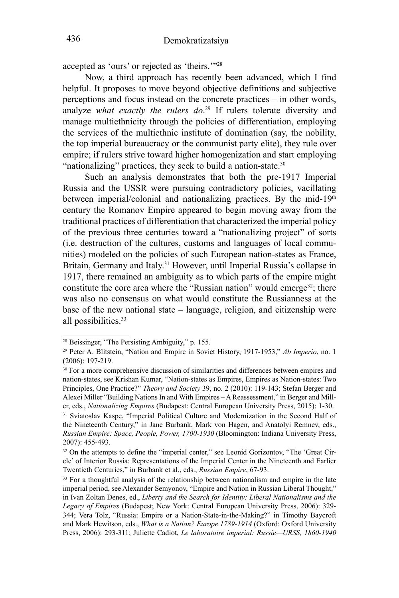accepted as 'ours' or rejected as 'theirs.'"<sup>28</sup>

Now, a third approach has recently been advanced, which I find helpful. It proposes to move beyond objective definitions and subjective perceptions and focus instead on the concrete practices – in other words, analyze *what exactly the rulers do*. 29 If rulers tolerate diversity and manage multiethnicity through the policies of differentiation, employing the services of the multiethnic institute of domination (say, the nobility, the top imperial bureaucracy or the communist party elite), they rule over empire; if rulers strive toward higher homogenization and start employing "nationalizing" practices, they seek to build a nation-state.<sup>30</sup>

Such an analysis demonstrates that both the pre-1917 Imperial Russia and the USSR were pursuing contradictory policies, vacillating between imperial/colonial and nationalizing practices. By the mid-19<sup>th</sup> century the Romanov Empire appeared to begin moving away from the traditional practices of differentiation that characterized the imperial policy of the previous three centuries toward a "nationalizing project" of sorts (i.e. destruction of the cultures, customs and languages of local communities) modeled on the policies of such European nation-states as France, Britain, Germany and Italy.<sup>31</sup> However, until Imperial Russia's collapse in 1917, there remained an ambiguity as to which parts of the empire might constitute the core area where the "Russian nation" would emerge<sup>32</sup>; there was also no consensus on what would constitute the Russianness at the base of the new national state – language, religion, and citizenship were all possibilities.<sup>33</sup>

<sup>28</sup> Beissinger, "The Persisting Ambiguity," p. 155.

<sup>29</sup> Peter A. Blitstein, "Nation and Empire in Soviet History, 1917-1953," *Ab Imperio*, no. 1 (2006): 197-219.

<sup>&</sup>lt;sup>30</sup> For a more comprehensive discussion of similarities and differences between empires and nation-states, see Krishan Kumar, "Nation-states as Empires, Empires as Nation-states: Two Principles, One Practice?" *Theory and Society* 39, no. 2 (2010): 119-143; Stefan Berger and Alexei Miller "Building Nations In and With Empires – A Reassessment," in Berger and Miller, eds., *Nationalizing Empires* (Budapest: Central European University Press, 2015): 1-30. 31 Sviatoslav Kaspe, "Imperial Political Culture and Modernization in the Second Half of

the Nineteenth Century," in Jane Burbank, Mark von Hagen, and Anatolyi Remnev, eds., *Russian Empire: Space, People, Power, 1700-1930* (Bloomington: Indiana University Press, 2007): 455-493.

<sup>&</sup>lt;sup>32</sup> On the attempts to define the "imperial center," see Leonid Gorizontov, "The 'Great Circle' of Interior Russia: Representations of the Imperial Center in the Nineteenth and Earlier Twentieth Centuries," in Burbank et al., eds., *Russian Empire*, 67-93.

<sup>&</sup>lt;sup>33</sup> For a thoughtful analysis of the relationship between nationalism and empire in the late imperial period, see Alexander Semyonov, "Empire and Nation in Russian Liberal Thought," in Ivan Zoltan Denes, ed., *Liberty and the Search for Identity: Liberal Nationalisms and the Legacy of Empires* (Budapest; New York: Central European University Press, 2006): 329- 344; Vera Tolz, "Russia: Empire or a Nation-State-in-the-Making?" in Timothy Baycroft and Mark Hewitson, eds., *What is a Nation? Europe 1789-1914* (Oxford: Oxford University Press, 2006): 293-311; Juliette Cadiot, *Le laboratoire imperial: Russie—URSS, 1860-1940*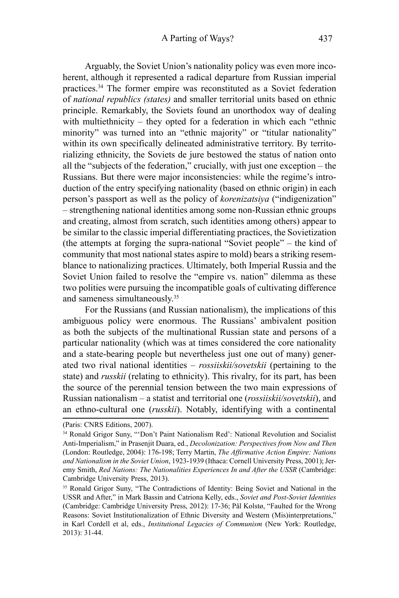Arguably, the Soviet Union's nationality policy was even more incoherent, although it represented a radical departure from Russian imperial practices.34 The former empire was reconstituted as a Soviet federation of *national republics (states)* and smaller territorial units based on ethnic principle. Remarkably, the Soviets found an unorthodox way of dealing with multiethnicity – they opted for a federation in which each "ethnic minority" was turned into an "ethnic majority" or "titular nationality" within its own specifically delineated administrative territory. By territorializing ethnicity, the Soviets de jure bestowed the status of nation onto all the "subjects of the federation," crucially, with just one exception – the Russians. But there were major inconsistencies: while the regime's introduction of the entry specifying nationality (based on ethnic origin) in each person's passport as well as the policy of *korenizatsiya* ("indigenization" – strengthening national identities among some non-Russian ethnic groups and creating, almost from scratch, such identities among others) appear to be similar to the classic imperial differentiating practices, the Sovietization (the attempts at forging the supra-national "Soviet people" – the kind of community that most national states aspire to mold) bears a striking resemblance to nationalizing practices. Ultimately, both Imperial Russia and the Soviet Union failed to resolve the "empire vs. nation" dilemma as these two polities were pursuing the incompatible goals of cultivating difference and sameness simultaneously.35

For the Russians (and Russian nationalism), the implications of this ambiguous policy were enormous. The Russians' ambivalent position as both the subjects of the multinational Russian state and persons of a particular nationality (which was at times considered the core nationality and a state-bearing people but nevertheless just one out of many) generated two rival national identities – *rossiiskii/sovetskii* (pertaining to the state) and *russkii* (relating to ethnicity). This rivalry, for its part, has been the source of the perennial tension between the two main expressions of Russian nationalism – a statist and territorial one (*rossiiskii/sovetskii*), and an ethno-cultural one (*russkii*). Notably, identifying with a continental

<sup>(</sup>Paris: CNRS Editions, 2007).

<sup>34</sup> Ronald Grigor Suny, "'Don't Paint Nationalism Red': National Revolution and Socialist Anti-Imperialism," in Prasenjit Duara, ed., *Decolonization: Perspectives from Now and Then* (London: Routledge, 2004): 176-198; Terry Martin, *The Affirmative Action Empire: Nations and Nationalism in the Soviet Union*, 1923-1939 (Ithaca: Cornell University Press, 2001); Jeremy Smith, *Red Nations: The Nationalities Experiences In and After the USSR* (Cambridge: Cambridge University Press, 2013).

<sup>35</sup> Ronald Grigor Suny, "The Contradictions of Identity: Being Soviet and National in the USSR and After," in Mark Bassin and Catriona Kelly, eds., *Soviet and Post-Soviet Identities* (Cambridge: Cambridge University Press, 2012): 17-36; Pål Kolstø, "Faulted for the Wrong Reasons: Soviet Institutionalization of Ethnic Diversity and Western (Mis)interpretations," in Karl Cordell et al, eds., *Institutional Legacies of Communism* (New York: Routledge, 2013): 31-44.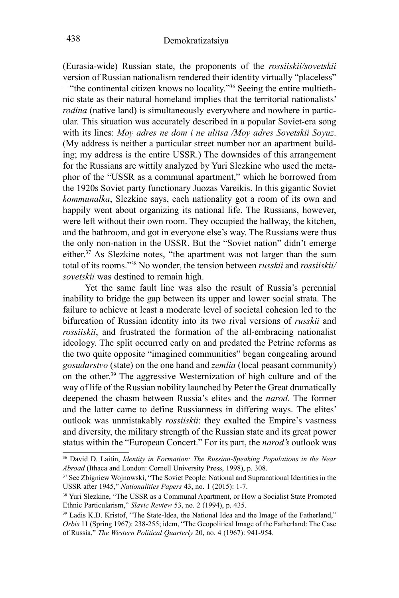(Eurasia-wide) Russian state, the proponents of the *rossiiskii/sovetskii*  version of Russian nationalism rendered their identity virtually "placeless" – "the continental citizen knows no locality."36 Seeing the entire multiethnic state as their natural homeland implies that the territorial nationalists' *rodina* (native land) is simultaneously everywhere and nowhere in particular. This situation was accurately described in a popular Soviet-era song with its lines: *Moy adres ne dom i ne ulitsa /Moy adres Sovetskii Soyuz*. (My address is neither a particular street number nor an apartment building; my address is the entire USSR.) The downsides of this arrangement for the Russians are wittily analyzed by Yuri Slezkine who used the metaphor of the "USSR as a communal apartment," which he borrowed from the 1920s Soviet party functionary Juozas Vareikis. In this gigantic Soviet *kommunalka*, Slezkine says, each nationality got a room of its own and happily went about organizing its national life. The Russians, however, were left without their own room. They occupied the hallway, the kitchen, and the bathroom, and got in everyone else's way. The Russians were thus the only non-nation in the USSR. But the "Soviet nation" didn't emerge either.37 As Slezkine notes, "the apartment was not larger than the sum total of its rooms."38 No wonder, the tension between *russkii* and *rossiiskii/ sovetskii* was destined to remain high.

Yet the same fault line was also the result of Russia's perennial inability to bridge the gap between its upper and lower social strata. The failure to achieve at least a moderate level of societal cohesion led to the bifurcation of Russian identity into its two rival versions of *russkii* and *rossiiskii*, and frustrated the formation of the all-embracing nationalist ideology. The split occurred early on and predated the Petrine reforms as the two quite opposite "imagined communities" began congealing around *gosudarstvo* (state) on the one hand and *zemlia* (local peasant community) on the other.39 The aggressive Westernization of high culture and of the way of life of the Russian nobility launched by Peter the Great dramatically deepened the chasm between Russia's elites and the *narod*. The former and the latter came to define Russianness in differing ways. The elites' outlook was unmistakably *rossiiskii*: they exalted the Empire's vastness and diversity, the military strength of the Russian state and its great power status within the "European Concert." For its part, the *narod's* outlook was

<sup>36</sup> David D. Laitin, *Identity in Formation: The Russian-Speaking Populations in the Near Abroad* (Ithaca and London: Cornell University Press, 1998), p. 308.

<sup>&</sup>lt;sup>37</sup> See Zbigniew Wojnowski, "The Soviet People: National and Supranational Identities in the USSR after 1945," *Nationalities Papers* 43, no. 1 (2015): 1-7.<br><sup>38</sup> Yuri Slezkine, "The USSR as a Communal Apartment, or How a Socialist State Promoted

Ethnic Particularism," *Slavic Review* 53, no. 2 (1994), p. 435.

<sup>39</sup> Ladis K.D. Kristof, "The State-Idea, the National Idea and the Image of the Fatherland," *Orbis* 11 (Spring 1967): 238-255; idem, "The Geopolitical Image of the Fatherland: The Case of Russia," *The Western Political Quarterly* 20, no. 4 (1967): 941-954.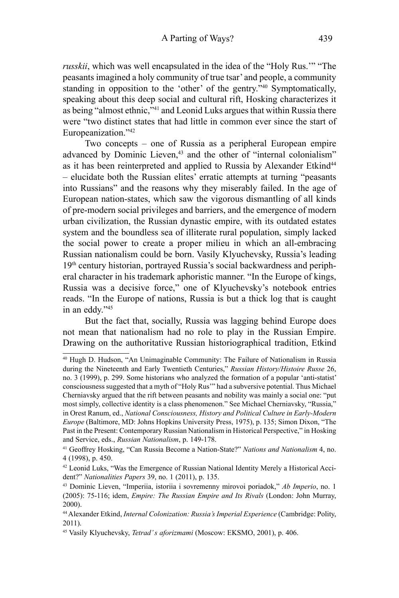*russkii*, which was well encapsulated in the idea of the "Holy Rus.'" "The peasants imagined a holy community of true tsar' and people, a community standing in opposition to the 'other' of the gentry."<sup>40</sup> Symptomatically, speaking about this deep social and cultural rift, Hosking characterizes it as being "almost ethnic,"<sup>41</sup> and Leonid Luks argues that within Russia there were "two distinct states that had little in common ever since the start of Europeanization."<sup>42</sup>

Two concepts – one of Russia as a peripheral European empire advanced by Dominic Lieven,<sup>43</sup> and the other of "internal colonialism" as it has been reinterpreted and applied to Russia by Alexander Etkind<sup>44</sup> – elucidate both the Russian elites' erratic attempts at turning "peasants into Russians" and the reasons why they miserably failed. In the age of European nation-states, which saw the vigorous dismantling of all kinds of pre-modern social privileges and barriers, and the emergence of modern urban civilization, the Russian dynastic empire, with its outdated estates system and the boundless sea of illiterate rural population, simply lacked the social power to create a proper milieu in which an all-embracing Russian nationalism could be born. Vasily Klyuchevsky, Russia's leading 19th century historian, portrayed Russia's social backwardness and peripheral character in his trademark aphoristic manner. "In the Europe of kings, Russia was a decisive force," one of Klyuchevsky's notebook entries reads. "In the Europe of nations, Russia is but a thick log that is caught in an eddy."<sup>45</sup>

But the fact that, socially, Russia was lagging behind Europe does not mean that nationalism had no role to play in the Russian Empire. Drawing on the authoritative Russian historiographical tradition, Etkind

<sup>40</sup> Hugh D. Hudson, "An Unimaginable Community: The Failure of Nationalism in Russia during the Nineteenth and Early Twentieth Centuries," *Russian History/Histoire Russe* 26, no. 3 (1999), p. 299. Some historians who analyzed the formation of a popular 'anti-statist' consciousness suggested that a myth of "Holy Rus'" had a subversive potential. Thus Michael Cherniavsky argued that the rift between peasants and nobility was mainly a social one: "put most simply, collective identity is a class phenomenon." See Michael Cherniavsky, "Russia," in Orest Ranum, ed., *National Consciousness, History and Political Culture in Early-Modern Europe* (Baltimore, MD: Johns Hopkins University Press, 1975), p. 135; Simon Dixon, "The Past in the Present: Contemporary Russian Nationalism in Historical Perspective," in Hosking and Service, eds., *Russian Nationalism*, p. 149-178.

<sup>41</sup> Geoffrey Hosking, "Can Russia Become a Nation-State?" *Nations and Nationalism* 4, no. 4 (1998), p. 450.

<sup>42</sup> Leonid Luks, "Was the Emergence of Russian National Identity Merely a Historical Accident?" *Nationalities Papers* 39, no. 1 (2011), p. 135.

<sup>43</sup> Dominic Lieven, "Imperiia, istoriia i sovremenny mirovoi poriadok," *Ab Imperio*, no. 1 (2005): 75-116; idem, *Empire: The Russian Empire and Its Rivals* (London: John Murray, 2000).

<sup>44</sup> Alexander Etkind, *Internal Colonization: Russia's Imperial Experience* (Cambridge: Polity, 2011).

<sup>45</sup> Vasily Klyuchevsky, *Tetrad' s aforizmami* (Moscow: EKSMO, 2001), p. 406.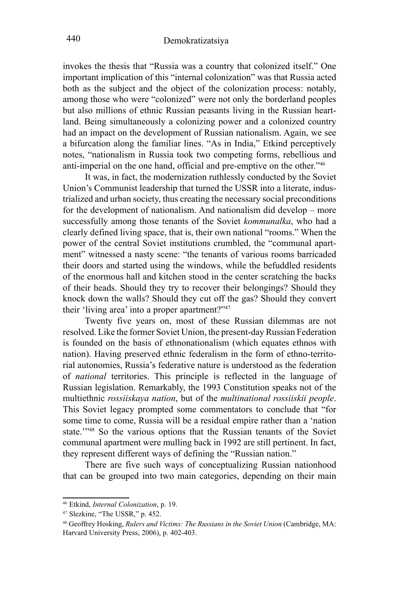invokes the thesis that "Russia was a country that colonized itself." One important implication of this "internal colonization" was that Russia acted both as the subject and the object of the colonization process: notably, among those who were "colonized" were not only the borderland peoples but also millions of ethnic Russian peasants living in the Russian heartland. Being simultaneously a colonizing power and a colonized country had an impact on the development of Russian nationalism. Again, we see a bifurcation along the familiar lines. "As in India," Etkind perceptively notes, "nationalism in Russia took two competing forms, rebellious and anti-imperial on the one hand, official and pre-emptive on the other."46

It was, in fact, the modernization ruthlessly conducted by the Soviet Union's Communist leadership that turned the USSR into a literate, industrialized and urban society, thus creating the necessary social preconditions for the development of nationalism. And nationalism did develop – more successfully among those tenants of the Soviet *kommunalka*, who had a clearly defined living space, that is, their own national "rooms." When the power of the central Soviet institutions crumbled, the "communal apartment" witnessed a nasty scene: "the tenants of various rooms barricaded their doors and started using the windows, while the befuddled residents of the enormous hall and kitchen stood in the center scratching the backs of their heads. Should they try to recover their belongings? Should they knock down the walls? Should they cut off the gas? Should they convert their 'living area' into a proper apartment?"<sup>47</sup>

Twenty five years on, most of these Russian dilemmas are not resolved. Like the former Soviet Union, the present-day Russian Federation is founded on the basis of ethnonationalism (which equates ethnos with nation). Having preserved ethnic federalism in the form of ethno-territorial autonomies, Russia's federative nature is understood as the federation of *national* territories. This principle is reflected in the language of Russian legislation. Remarkably, the 1993 Constitution speaks not of the multiethnic *rossiiskaya nation*, but of the *multinational rossiiskii people*. This Soviet legacy prompted some commentators to conclude that "for some time to come, Russia will be a residual empire rather than a 'nation state.'"<sup>48</sup> So the various options that the Russian tenants of the Soviet communal apartment were mulling back in 1992 are still pertinent. In fact, they represent different ways of defining the "Russian nation."

There are five such ways of conceptualizing Russian nationhood that can be grouped into two main categories, depending on their main

<sup>46</sup> Etkind, *Internal Colonization*, p. 19.

<sup>47</sup> Slezkine, "The USSR," p. 452.

<sup>48</sup> Geoffrey Hosking, *Rulers and Victims: The Russians in the Soviet Union* (Cambridge, MA: Harvard University Press, 2006), p. 402-403.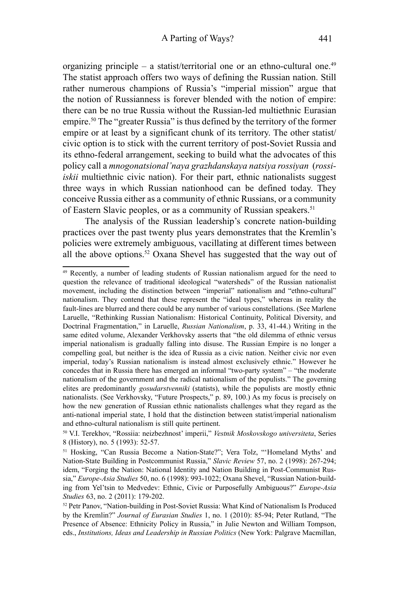organizing principle – a statist/territorial one or an ethno-cultural one.<sup>49</sup> The statist approach offers two ways of defining the Russian nation. Still rather numerous champions of Russia's "imperial mission" argue that the notion of Russianness is forever blended with the notion of empire: there can be no true Russia without the Russian-led multiethnic Eurasian empire.<sup>50</sup> The "greater Russia" is thus defined by the territory of the former empire or at least by a significant chunk of its territory. The other statist/ civic option is to stick with the current territory of post-Soviet Russia and its ethno-federal arrangement, seeking to build what the advocates of this policy call a *mnogonatsional'naya grazhdanskaya natsiya rossiyan* (*rossiiskii* multiethnic civic nation). For their part, ethnic nationalists suggest three ways in which Russian nationhood can be defined today. They conceive Russia either as a community of ethnic Russians, or a community of Eastern Slavic peoples, or as a community of Russian speakers.<sup>51</sup>

The analysis of the Russian leadership's concrete nation-building practices over the past twenty plus years demonstrates that the Kremlin's policies were extremely ambiguous, vacillating at different times between all the above options.<sup>52</sup> Oxana Shevel has suggested that the way out of

<sup>49</sup> Recently, a number of leading students of Russian nationalism argued for the need to question the relevance of traditional ideological "watersheds" of the Russian nationalist movement, including the distinction between "imperial" nationalism and "ethno-cultural" nationalism. They contend that these represent the "ideal types," whereas in reality the fault-lines are blurred and there could be any number of various constellations. (See Marlene Laruelle, "Rethinking Russian Nationalism: Historical Continuity, Political Diversity, and Doctrinal Fragmentation," in Laruelle, *Russian Nationalism*, p. 33, 41-44.) Writing in the same edited volume, Alexander Verkhovsky asserts that "the old dilemma of ethnic versus imperial nationalism is gradually falling into disuse. The Russian Empire is no longer a compelling goal, but neither is the idea of Russia as a civic nation. Neither civic nor even imperial, today's Russian nationalism is instead almost exclusively ethnic." However he concedes that in Russia there has emerged an informal "two-party system" – "the moderate nationalism of the government and the radical nationalism of the populists." The governing elites are predominantly *gosudarstvenniki* (statists), while the populists are mostly ethnic nationalists. (See Verkhovsky, "Future Prospects," p. 89, 100.) As my focus is precisely on how the new generation of Russian ethnic nationalists challenges what they regard as the anti-national imperial state, I hold that the distinction between statist/imperial nationalism and ethno-cultural nationalism is still quite pertinent.

<sup>50</sup> V.I. Terekhov, "Rossiia: neizbezhnost' imperii," *Vestnik Moskovskogo universiteta*, Series 8 (History), no. 5 (1993): 52-57.

<sup>51</sup> Hosking, "Can Russia Become a Nation-State?"; Vera Tolz, "'Homeland Myths' and Nation-State Building in Postcommunist Russia," *Slavic Review* 57, no. 2 (1998): 267-294; idem, "Forging the Nation: National Identity and Nation Building in Post-Communist Russia," *Europe-Asia Studies* 50, no. 6 (1998): 993-1022; Oxana Shevel, "Russian Nation-building from Yel'tsin to Medvedev: Ethnic, Civic or Purposefully Ambiguous?" *Europe-Asia Studies* 63, no. 2 (2011): 179-202.

<sup>52</sup> Petr Panov, "Nation-building in Post-Soviet Russia: What Kind of Nationalism Is Produced by the Kremlin?" *Journal of Eurasian Studies* 1, no. 1 (2010): 85-94; Peter Rutland, "The Presence of Absence: Ethnicity Policy in Russia," in Julie Newton and William Tompson, eds., *Institutions, Ideas and Leadership in Russian Politics* (New York: Palgrave Macmillan,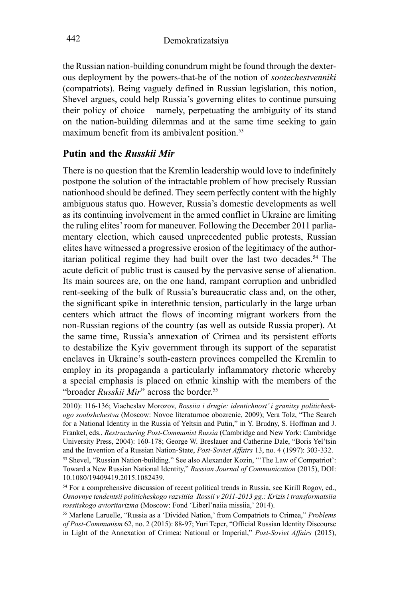the Russian nation-building conundrum might be found through the dexterous deployment by the powers-that-be of the notion of *sootechestvenniki* (compatriots). Being vaguely defined in Russian legislation, this notion, Shevel argues, could help Russia's governing elites to continue pursuing their policy of choice – namely, perpetuating the ambiguity of its stand on the nation-building dilemmas and at the same time seeking to gain maximum benefit from its ambivalent position.<sup>53</sup>

# **Putin and the** *Russkii Mir*

There is no question that the Kremlin leadership would love to indefinitely postpone the solution of the intractable problem of how precisely Russian nationhood should be defined. They seem perfectly content with the highly ambiguous status quo. However, Russia's domestic developments as well as its continuing involvement in the armed conflict in Ukraine are limiting the ruling elites' room for maneuver. Following the December 2011 parliamentary election, which caused unprecedented public protests, Russian elites have witnessed a progressive erosion of the legitimacy of the authoritarian political regime they had built over the last two decades.<sup>54</sup> The acute deficit of public trust is caused by the pervasive sense of alienation. Its main sources are, on the one hand, rampant corruption and unbridled rent-seeking of the bulk of Russia's bureaucratic class and, on the other, the significant spike in interethnic tension, particularly in the large urban centers which attract the flows of incoming migrant workers from the non-Russian regions of the country (as well as outside Russia proper). At the same time, Russia's annexation of Crimea and its persistent efforts to destabilize the Kyiv government through its support of the separatist enclaves in Ukraine's south-eastern provinces compelled the Kremlin to employ in its propaganda a particularly inflammatory rhetoric whereby a special emphasis is placed on ethnic kinship with the members of the "broader *Russkii Mir*" across the border.<sup>55</sup>

<sup>2010): 116-136;</sup> Viacheslav Morozov, *Rossiia i drugie: identichnost' i granitsy politicheskogo soobshchestva* (Moscow: Novoe literaturnoe obozrenie, 2009); Vera Tolz, "The Search for a National Identity in the Russia of Yeltsin and Putin," in Y. Brudny, S. Hoffman and J. Frankel, eds., *Restructuring Post-Communist Russia* (Cambridge and New York: Cambridge University Press, 2004): 160-178; George W. Breslauer and Catherine Dale, "Boris Yel'tsin and the Invention of a Russian Nation-State, *Post-Soviet Affairs* 13, no. 4 (1997): 303-332. 53 Shevel, "Russian Nation-building." See also Alexander Kozin, "'The Law of Compatriot': Toward a New Russian National Identity," *Russian Journal of Communication* (2015), DOI: 10.1080/19409419.2015.1082439.

<sup>&</sup>lt;sup>54</sup> For a comprehensive discussion of recent political trends in Russia, see Kirill Rogov, ed., *Osnovnye tendentsii politicheskogo razvitiia Rossii v 2011-2013 gg.: Krizis i transformatsiia rossiiskogo avtoritarizma* (Moscow: Fond 'Liberl'naiia missiia,' 2014).

<sup>55</sup> Marlene Laruelle, "Russia as a 'Divided Nation,' from Compatriots to Crimea," *Problems of Post-Communism* 62, no. 2 (2015): 88-97; Yuri Teper, "Official Russian Identity Discourse in Light of the Annexation of Crimea: National or Imperial," *Post-Soviet Affairs* (2015),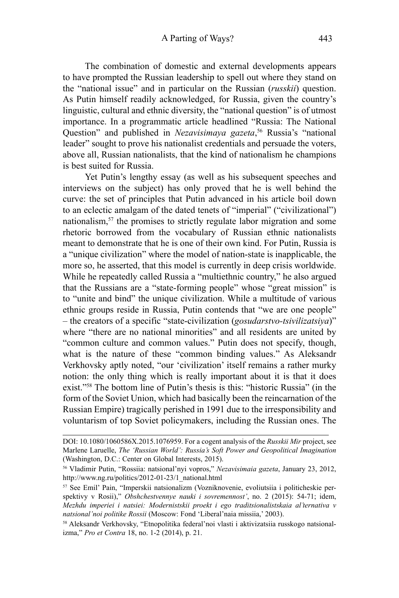The combination of domestic and external developments appears to have prompted the Russian leadership to spell out where they stand on the "national issue" and in particular on the Russian (*russkii*) question. As Putin himself readily acknowledged, for Russia, given the country's linguistic, cultural and ethnic diversity, the "national question" is of utmost importance. In a programmatic article headlined "Russia: The National Question" and published in *Nezavisimaya gazeta*,<sup>56</sup> Russia's "national leader" sought to prove his nationalist credentials and persuade the voters, above all, Russian nationalists, that the kind of nationalism he champions is best suited for Russia.

Yet Putin's lengthy essay (as well as his subsequent speeches and interviews on the subject) has only proved that he is well behind the curve: the set of principles that Putin advanced in his article boil down to an eclectic amalgam of the dated tenets of "imperial" ("civilizational") nationalism,<sup>57</sup> the promises to strictly regulate labor migration and some rhetoric borrowed from the vocabulary of Russian ethnic nationalists meant to demonstrate that he is one of their own kind. For Putin, Russia is a "unique civilization" where the model of nation-state is inapplicable, the more so, he asserted, that this model is currently in deep crisis worldwide. While he repeatedly called Russia a "multiethnic country," he also argued that the Russians are a "state-forming people" whose "great mission" is to "unite and bind" the unique civilization. While a multitude of various ethnic groups reside in Russia, Putin contends that "we are one people" – the creators of a specific "state-civilization (*gosudarstvo-tsivilizatsiya*)" where "there are no national minorities" and all residents are united by "common culture and common values." Putin does not specify, though, what is the nature of these "common binding values." As Aleksandr Verkhovsky aptly noted, "our 'civilization' itself remains a rather murky notion: the only thing which is really important about it is that it does exist."<sup>58</sup> The bottom line of Putin's thesis is this: "historic Russia" (in the form of the Soviet Union, which had basically been the reincarnation of the Russian Empire) tragically perished in 1991 due to the irresponsibility and voluntarism of top Soviet policymakers, including the Russian ones. The

DOI: 10.1080/1060586X.2015.1076959. For a cogent analysis of the *Russkii Mir* project, see Marlene Laruelle, *The 'Russian World': Russia's Soft Power and Geopolitical Imagination* (Washington, D.C.: Center on Global Interests, 2015).

<sup>56</sup> Vladimir Putin, "Rossiia: natsional'nyi vopros," *Nezavisimaia gazeta*, January 23, 2012, http://www.ng.ru/politics/2012-01-23/1\_national.html

<sup>57</sup> See Emil' Pain, "Imperskii natsionalizm (Vozniknovenie, evoliutsiia i politicheskie perspektivy v Rosii)," *Obshchestvennye nauki i sovremennost'*, no. 2 (2015): 54-71; idem, *Mezhdu imperiei i natsiei: Modernistskii proekt i ego traditsionalistskaia al'ternativa v natsional'noi politike Rossii* (Moscow: Fond 'Liberal'naia missiia,' 2003).

<sup>58</sup> Aleksandr Verkhovsky, "Etnopolitika federal'noi vlasti i aktivizatsiia russkogo natsionalizma," *Pro et Contra* 18, no. 1-2 (2014), p. 21.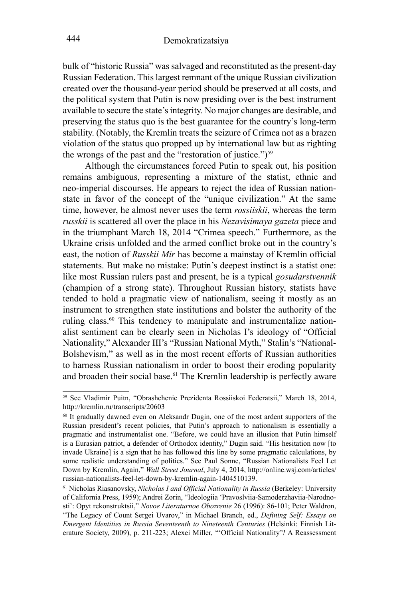bulk of "historic Russia" was salvaged and reconstituted as the present-day Russian Federation. This largest remnant of the unique Russian civilization created over the thousand-year period should be preserved at all costs, and the political system that Putin is now presiding over is the best instrument available to secure the state's integrity. No major changes are desirable, and preserving the status quo is the best guarantee for the country's long-term stability. (Notably, the Kremlin treats the seizure of Crimea not as a brazen violation of the status quo propped up by international law but as righting the wrongs of the past and the "restoration of justice.") $59$ 

Although the circumstances forced Putin to speak out, his position remains ambiguous, representing a mixture of the statist, ethnic and neo-imperial discourses. He appears to reject the idea of Russian nationstate in favor of the concept of the "unique civilization." At the same time, however, he almost never uses the term *rossiiskii*, whereas the term *russkii* is scattered all over the place in his *Nezavisimaya gazeta* piece and in the triumphant March 18, 2014 "Crimea speech." Furthermore, as the Ukraine crisis unfolded and the armed conflict broke out in the country's east, the notion of *Russkii Mir* has become a mainstay of Kremlin official statements. But make no mistake: Putin's deepest instinct is a statist one: like most Russian rulers past and present, he is a typical *gosudarstvennik* (champion of a strong state). Throughout Russian history, statists have tended to hold a pragmatic view of nationalism, seeing it mostly as an instrument to strengthen state institutions and bolster the authority of the ruling class.60 This tendency to manipulate and instrumentalize nationalist sentiment can be clearly seen in Nicholas I's ideology of "Official Nationality," Alexander III's "Russian National Myth," Stalin's "National-Bolshevism," as well as in the most recent efforts of Russian authorities to harness Russian nationalism in order to boost their eroding popularity and broaden their social base.61 The Kremlin leadership is perfectly aware

<sup>59</sup> See Vladimir Puitn, "Obrashchenie Prezidenta Rossiiskoi Federatsii," March 18, 2014, http://kremlin.ru/transcripts/20603

<sup>60</sup> It gradually dawned even on Aleksandr Dugin, one of the most ardent supporters of the Russian president's recent policies, that Putin's approach to nationalism is essentially a pragmatic and instrumentalist one. "Before, we could have an illusion that Putin himself is a Eurasian patriot, a defender of Orthodox identity," Dugin said. "His hesitation now [to invade Ukraine] is a sign that he has followed this line by some pragmatic calculations, by some realistic understanding of politics." See Paul Sonne, "Russian Nationalists Feel Let Down by Kremlin, Again," *Wall Street Journal*, July 4, 2014, http://online.wsj.com/articles/ russian-nationalists-feel-let-down-by-kremlin-again-1404510139.

<sup>61</sup> Nicholas Riasanovsky, *Nicholas I and Official Nationality in Russia* (Berkeley: University of California Press, 1959); Andrei Zorin, "Ideologiia 'Pravoslviia-Samoderzhaviia-Narodnosti': Opyt rekonstruktsii," *Novoe Literaturnoe Obozrenie* 26 (1996): 86-101; Peter Waldron, "The Legacy of Count Sergei Uvarov," in Michael Branch, ed., *Defining Self: Essays on Emergent Identities in Russia Seventeenth to Nineteenth Centuries* (Helsinki: Finnish Literature Society, 2009), p. 211-223; Alexei Miller, "'Official Nationality'? A Reassessment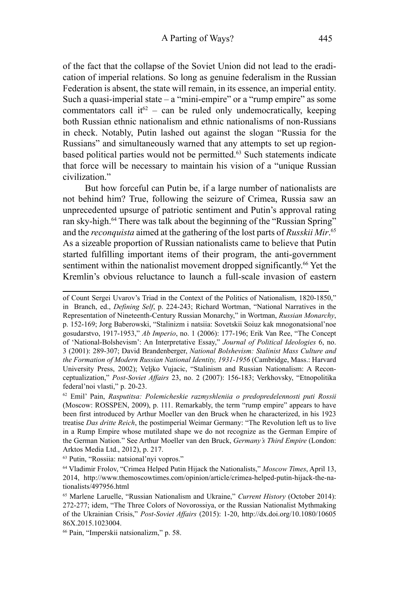of the fact that the collapse of the Soviet Union did not lead to the eradication of imperial relations. So long as genuine federalism in the Russian Federation is absent, the state will remain, in its essence, an imperial entity. Such a quasi-imperial state – a "mini-empire" or a "rump empire" as some commentators call it<sup>62</sup> – can be ruled only undemocratically, keeping both Russian ethnic nationalism and ethnic nationalisms of non-Russians in check. Notably, Putin lashed out against the slogan "Russia for the Russians" and simultaneously warned that any attempts to set up regionbased political parties would not be permitted.63 Such statements indicate that force will be necessary to maintain his vision of a "unique Russian civilization."

But how forceful can Putin be, if a large number of nationalists are not behind him? True, following the seizure of Crimea, Russia saw an unprecedented upsurge of patriotic sentiment and Putin's approval rating ran sky-high.<sup>64</sup> There was talk about the beginning of the "Russian Spring" and the *reconquista* aimed at the gathering of the lost parts of *Russkii Mir*. 65 As a sizeable proportion of Russian nationalists came to believe that Putin started fulfilling important items of their program, the anti-government sentiment within the nationalist movement dropped significantly.<sup>66</sup> Yet the Kremlin's obvious reluctance to launch a full-scale invasion of eastern

63 Putin, "Rossiia: natsional'nyi vopros."

of Count Sergei Uvarov's Triad in the Context of the Politics of Nationalism, 1820-1850," in Branch, ed., *Defining Self*, p. 224-243; Richard Wortman, "National Narratives in the Representation of Nineteenth-Century Russian Monarchy," in Wortman, *Russian Monarchy*, p. 152-169; Jorg Baberowski, "Stalinizm i natsiia: Sovetskii Soiuz kak mnogonatsional'noe gosudarstvo, 1917-1953," *Ab Imperio*, no. 1 (2006): 177-196; Erik Van Ree, "The Concept of 'National-Bolshevism': An Interpretative Essay," *Journal of Political Ideologies* 6, no. 3 (2001): 289-307; David Brandenberger, *National Bolshevism: Stalinist Mass Culture and the Formation of Modern Russian National Identity, 1931-1956* (Cambridge, Mass.: Harvard University Press, 2002); Veljko Vujacic, "Stalinism and Russian Nationalism: A Reconceptualization," *Post-Soviet Affairs* 23, no. 2 (2007): 156-183; Verkhovsky, "Etnopolitika federal'noi vlasti," p. 20-23.

<sup>62</sup> Emil' Pain, *Rasputitsa: Polemicheskie razmyshleniia o predopredelennosti puti Rossii* (Moscow: ROSSPEN, 2009), p. 111. Remarkably, the term "rump empire" appears to have been first introduced by Arthur Moeller van den Bruck when he characterized, in his 1923 treatise *Das dritte Reich*, the postimperial Weimar Germany: "The Revolution left us to live in a Rump Empire whose mutilated shape we do not recognize as the German Empire of the German Nation." See Arthur Moeller van den Bruck, *Germany's Third Empire* (London: Arktos Media Ltd., 2012), p. 217.

<sup>64</sup> Vladimir Frolov, "Crimea Helped Putin Hijack the Nationalists," *Moscow Times*, April 13, 2014, http://www.themoscowtimes.com/opinion/article/crimea-helped-putin-hijack-the-nationalists/497956.html

<sup>65</sup> Marlene Laruelle, "Russian Nationalism and Ukraine," *Current History* (October 2014): 272-277; idem, "The Three Colors of Novorossiya, or the Russian Nationalist Mythmaking of the Ukrainian Crisis," *Post-Soviet Affairs* (2015): 1-20, http://dx.doi.org/10.1080/10605 86X.2015.1023004.

<sup>66</sup> Pain, "Imperskii natsionalizm," p. 58.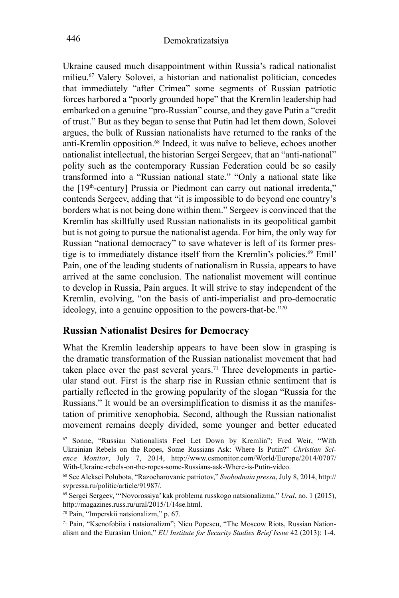Ukraine caused much disappointment within Russia's radical nationalist milieu.67 Valery Solovei, a historian and nationalist politician, concedes that immediately "after Crimea" some segments of Russian patriotic forces harbored a "poorly grounded hope" that the Kremlin leadership had embarked on a genuine "pro-Russian" course, and they gave Putin a "credit of trust." But as they began to sense that Putin had let them down, Solovei argues, the bulk of Russian nationalists have returned to the ranks of the anti-Kremlin opposition.68 Indeed, it was naïve to believe, echoes another nationalist intellectual, the historian Sergei Sergeev, that an "anti-national" polity such as the contemporary Russian Federation could be so easily transformed into a "Russian national state." "Only a national state like the [19<sup>th</sup>-century] Prussia or Piedmont can carry out national irredenta," contends Sergeev, adding that "it is impossible to do beyond one country's borders what is not being done within them." Sergeev is convinced that the Kremlin has skillfully used Russian nationalists in its geopolitical gambit but is not going to pursue the nationalist agenda. For him, the only way for Russian "national democracy" to save whatever is left of its former prestige is to immediately distance itself from the Kremlin's policies.<sup>69</sup> Emil' Pain, one of the leading students of nationalism in Russia, appears to have arrived at the same conclusion. The nationalist movement will continue to develop in Russia, Pain argues. It will strive to stay independent of the Kremlin, evolving, "on the basis of anti-imperialist and pro-democratic ideology, into a genuine opposition to the powers-that-be."<sup>70</sup>

## **Russian Nationalist Desires for Democracy**

What the Kremlin leadership appears to have been slow in grasping is the dramatic transformation of the Russian nationalist movement that had taken place over the past several years.<sup>71</sup> Three developments in particular stand out. First is the sharp rise in Russian ethnic sentiment that is partially reflected in the growing popularity of the slogan "Russia for the Russians." It would be an oversimplification to dismiss it as the manifestation of primitive xenophobia. Second, although the Russian nationalist movement remains deeply divided, some younger and better educated

<sup>67</sup> Sonne, "Russian Nationalists Feel Let Down by Kremlin"; Fred Weir, "With Ukrainian Rebels on the Ropes, Some Russians Ask: Where Is Putin?" *Christian Science Monitor*, July 7, 2014, http://www.csmonitor.com/World/Europe/2014/0707/ With-Ukraine-rebels-on-the-ropes-some-Russians-ask-Where-is-Putin-video.

<sup>68</sup> See Aleksei Polubota, "Razocharovanie patriotov," *Svobodnaia pressa*, July 8, 2014, http:// svpressa.ru/politic/article/91987/.

<sup>69</sup> Sergei Sergeev, "'Novorossiya' kak problema russkogo natsionalizma," *Ural*, no. 1 (2015), http://magazines.russ.ru/ural/2015/1/14se.html.

<sup>70</sup> Pain, "Imperskii natsionalizm," p. 67.

<sup>71</sup> Pain, "Ksenofobiia i natsionalizm"; Nicu Popescu, "The Moscow Riots, Russian Nationalism and the Eurasian Union," *EU Institute for Security Studies Brief Issue* 42 (2013): 1-4.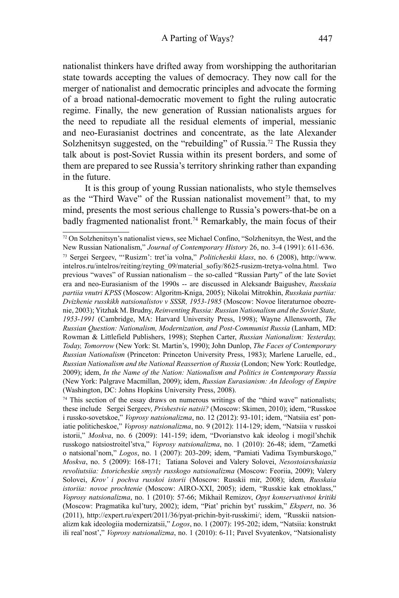nationalist thinkers have drifted away from worshipping the authoritarian state towards accepting the values of democracy. They now call for the merger of nationalist and democratic principles and advocate the forming of a broad national-democratic movement to fight the ruling autocratic regime. Finally, the new generation of Russian nationalists argues for the need to repudiate all the residual elements of imperial, messianic and neo-Eurasianist doctrines and concentrate, as the late Alexander Solzhenitsyn suggested, on the "rebuilding" of Russia.<sup>72</sup> The Russia they talk about is post-Soviet Russia within its present borders, and some of them are prepared to see Russia's territory shrinking rather than expanding in the future.

It is this group of young Russian nationalists, who style themselves as the "Third Wave" of the Russian nationalist movement<sup>73</sup> that, to my mind, presents the most serious challenge to Russia's powers-that-be on a badly fragmented nationalist front.<sup>74</sup> Remarkably, the main focus of their

 $72$  On Solzhenitsyn's nationalist views, see Michael Confino, "Solzhenitsyn, the West, and the New Russian Nationalism," *Journal of Contemporary History* 26, no. 3-4 (1991): 611-636. 73 Sergei Sergeev, "'Rusizm': tret'ia volna," *Politicheskii klass*, no. 6 (2008), http://www. intelros.ru/intelros/reiting/reyting\_09/material\_sofiy/8625-rusizm-tretya-volna.html. Two previous "waves" of Russian nationalism – the so-called "Russian Party" of the late Soviet era and neo-Eurasianism of the 1990s -- are discussed in Aleksandr Baigushev, *Russkaia partiia vnutri KPSS* (Moscow: Algoritm-Kniga, 2005); Nikolai Mitrokhin, *Russkaia partiia: Dvizhenie russkikh natsionalistov v SSSR, 1953-1985* (Moscow: Novoe literaturnoe obozrenie, 2003); Yitzhak M. Brudny, *Reinventing Russia: Russian Nationalism and the Soviet State, 1953-1991* (Cambridge, MA: Harvard University Press, 1998); Wayne Allensworth, *The Russian Question: Nationalism, Modernization, and Post-Communist Russia* (Lanham, MD: Rowman & Littlefield Publishers, 1998); Stephen Carter, *Russian Nationalism: Yesterday, Today, Tomorrow* (New York: St. Martin's, 1990); John Dunlop, *The Faces of Contemporary Russian Nationalism* (Princeton: Princeton University Press, 1983); Marlene Laruelle, ed., *Russian Nationalism and the National Reassertion of Russia* (London; New York: Routledge, 2009); idem, *In the Name of the Nation: Nationalism and Politics in Contemporary Russia* (New York: Palgrave Macmillan, 2009); idem, *Russian Eurasianism: An Ideology of Empire*  (Washington, DC: Johns Hopkins University Press, 2008).

 $74$  This section of the essay draws on numerous writings of the "third wave" nationalists; these include Sergei Sergeev, *Prishestvie natsii?* (Moscow: Skimen, 2010); idem, "Russkoe i russko-sovetskoe," *Voprosy natsionalizma*, no. 12 (2012): 93-101; idem, "Natsiia est' poniatie politicheskoe," *Voprosy natsionalizma*, no. 9 (2012): 114-129; idem, "Natsiia v russkoi istorii," *Moskva*, no. 6 (2009): 141-159; idem, "Dvorianstvo kak ideolog i mogil'shchik russkogo natsiostroitel'stva," *Voprosy natsionalizma*, no. 1 (2010): 26-48; idem, "Zametki o natsional'nom," *Logos*, no. 1 (2007): 203-209; idem, "Pamiati Vadima Tsymburskogo," *Moskva*, no. 5 (2009): 168-171; Tatiana Solovei and Valery Solovei, *Nesostoiavshaiasia revoliutsiia: Istoricheskie smysly russkogo natsionalizma* (Moscow: Feoriia, 2009); Valery Solovei, *Krov' i pochva russkoi istorii* (Moscow: Russkii mir, 2008); idem*, Russkaia istoriia: novoe prochtenie* (Moscow: AIRO-XXI, 2005); idem, "Russkie kak etnoklass," *Voprosy natsionalizma*, no. 1 (2010): 57-66; Mikhail Remizov, *Opyt konservativnoi kritiki*  (Moscow: Pragmatika kul'tury, 2002); idem, "Piat' prichin byt' russkim," *Ekspert*, no. 36 (2011), http://expert.ru/expert/2011/36/pyat-prichin-byit-russkimi/; idem, "Russkii natsionalizm kak ideologiia modernizatsii," *Logos*, no. 1 (2007): 195-202; idem, "Natsiia: konstrukt ili real'nost'," *Voprosy natsionalizma*, no. 1 (2010): 6-11; Pavel Svyatenkov, "Natsionalisty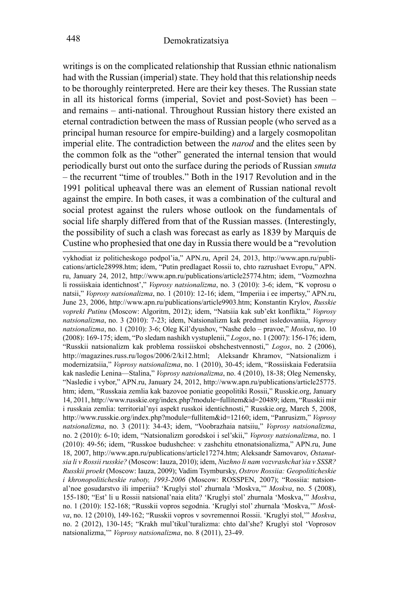writings is on the complicated relationship that Russian ethnic nationalism had with the Russian (imperial) state. They hold that this relationship needs to be thoroughly reinterpreted. Here are their key theses. The Russian state in all its historical forms (imperial, Soviet and post-Soviet) has been – and remains – anti-national. Throughout Russian history there existed an eternal contradiction between the mass of Russian people (who served as a principal human resource for empire-building) and a largely cosmopolitan imperial elite. The contradiction between the *narod* and the elites seen by the common folk as the "other" generated the internal tension that would periodically burst out onto the surface during the periods of Russian *smuta* – the recurrent "time of troubles." Both in the 1917 Revolution and in the 1991 political upheaval there was an element of Russian national revolt against the empire. In both cases, it was a combination of the cultural and social protest against the rulers whose outlook on the fundamentals of social life sharply differed from that of the Russian masses. (Interestingly, the possibility of such a clash was forecast as early as 1839 by Marquis de Custine who prophesied that one day in Russia there would be a "revolution

vykhodiat iz politicheskogo podpol'ia," APN.ru, April 24, 2013, http://www.apn.ru/publications/article28998.htm; idem, "Putin predlagaet Rossii to, chto razrushaet Evropu," APN. ru, January 24, 2012, http://www.apn.ru/publications/article25774.htm; idem, "Vozmozhna li rossiiskaia identichnost'," *Voprosy natsionalizma*, no. 3 (2010): 3-6; idem, "K voprosu o natsii," *Voprosy natsionalizma*, no. 1 (2010): 12-16; idem, "Imperiia i ee impertsy," APN.ru, June 23, 2006, http://www.apn.ru/publications/article9903.htm; Konstantin Krylov, *Russkie vopreki Putinu* (Moscow: Algoritm, 2012); idem, "Natsiia kak sub'ekt konflikta," *Voprosy natsionalizma*, no. 3 (2010): 7-23; idem, Natsionalizm kak predmet issledovaniia, *Voprosy natsionalizma*, no. 1 (2010): 3-6; Oleg Kil'dyushov, "Nashe delo – pravoe," *Moskva*, no. 10 (2008): 169-175; idem, "Po sledam nashikh vystuplenii," *Logos*, no. 1 (2007): 156-176; idem, "Russkii natsionalizm kak problema rossiiskoi obshchestvennosti," *Logos*, no. 2 (2006), http://magazines.russ.ru/logos/2006/2/ki12.html; Aleksandr Khramov, "Natsionalizm i modernizatsiia," *Voprosy natsionalizma*, no. 1 (2010), 30-45; idem, "Rossiiskaia Federatsiia kak nasledie Lenina—Stalina," *Voprosy natsionalizma*, no. 4 (2010), 18-38; Oleg Nemensky, "Nasledie i vybor," APN.ru, January 24, 2012, http://www.apn.ru/publications/article25775. htm; idem, "Russkaia zemlia kak bazovoe poniatie geopolitiki Rossii," Russkie.org, January 14, 2011, http://www.russkie.org/index.php?module=fullitem&id=20489; idem, "Russkii mir i russkaia zemlia: territorial'nyi aspekt russkoi identichnosti," Russkie.org, March 5, 2008, http://www.russkie.org/index.php?module=fullitem&id=12160; idem, "Panrusizm," *Voprosy natsionalizma*, no. 3 (2011): 34-43; idem, "Voobrazhaia natsiiu," *Voprosy natsionalizma*, no. 2 (2010): 6-10; idem, "Natsionalizm gorodskoi i sel'skii," *Voprosy natsionalizma*, no. 1 (2010): 49-56; idem, "Russkoe budushchee: v zashchitu etnonatsionalizma," APN.ru, June 18, 2007, http://www.apn.ru/publications/article17274.htm; Aleksandr Samovarov, *Ostanutsia li v Rossii russkie?* (Moscow: Iauza, 2010); idem, *Nuzhno li nam vozvrashchat'sia v SSSR? Russkii proekt* (Moscow: Iauza, 2009); Vadim Tsymbursky, *Ostrov Rossiia: Geopoliticheskie i khronopoliticheskie raboty, 1993-2006* (Moscow: ROSSPEN, 2007); "Rossiia: natsional'noe gosudarstvo ili imperiia? 'Kruglyi stol' zhurnala 'Moskva,'" *Moskva*, no. 5 (2008), 155-180; "Est' li u Rossii natsional'naia elita? 'Kruglyi stol' zhurnala 'Moskva,'" *Moskva*, no. 1 (2010): 152-168; "Russkii vopros segodnia. 'Kruglyi stol' zhurnala 'Moskva,'" *Moskva*, no. 12 (2010), 149-162; "Russkii vopros v sovremennoi Rossii. 'Kruglyi stol,'" *Moskva*, no. 2 (2012), 130-145; "Krakh mul'tikul'turalizma: chto dal'she? Kruglyi stol 'Voprosov natsionalizma,'" *Voprosy natsionalizma*, no. 8 (2011), 23-49.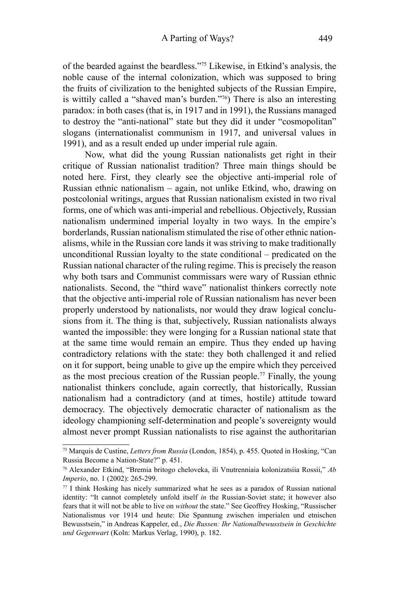of the bearded against the beardless."<sup>75</sup> Likewise, in Etkind's analysis, the noble cause of the internal colonization, which was supposed to bring the fruits of civilization to the benighted subjects of the Russian Empire, is wittily called a "shaved man's burden."76) There is also an interesting paradox: in both cases (that is, in 1917 and in 1991), the Russians managed to destroy the "anti-national" state but they did it under "cosmopolitan" slogans (internationalist communism in 1917, and universal values in 1991), and as a result ended up under imperial rule again.

Now, what did the young Russian nationalists get right in their critique of Russian nationalist tradition? Three main things should be noted here. First, they clearly see the objective anti-imperial role of Russian ethnic nationalism – again, not unlike Etkind, who, drawing on postcolonial writings, argues that Russian nationalism existed in two rival forms, one of which was anti-imperial and rebellious. Objectively, Russian nationalism undermined imperial loyalty in two ways. In the empire's borderlands, Russian nationalism stimulated the rise of other ethnic nationalisms, while in the Russian core lands it was striving to make traditionally unconditional Russian loyalty to the state conditional – predicated on the Russian national character of the ruling regime. This is precisely the reason why both tsars and Communist commissars were wary of Russian ethnic nationalists. Second, the "third wave" nationalist thinkers correctly note that the objective anti-imperial role of Russian nationalism has never been properly understood by nationalists, nor would they draw logical conclusions from it. The thing is that, subjectively, Russian nationalists always wanted the impossible: they were longing for a Russian national state that at the same time would remain an empire. Thus they ended up having contradictory relations with the state: they both challenged it and relied on it for support, being unable to give up the empire which they perceived as the most precious creation of the Russian people.<sup>77</sup> Finally, the young nationalist thinkers conclude, again correctly, that historically, Russian nationalism had a contradictory (and at times, hostile) attitude toward democracy. The objectively democratic character of nationalism as the ideology championing self-determination and people's sovereignty would almost never prompt Russian nationalists to rise against the authoritarian

<sup>75</sup> Marquis de Custine, *Letters from Russia* (London, 1854), p. 455. Quoted in Hosking, "Can Russia Become a Nation-State?" p. 451.

<sup>76</sup> Alexander Etkind, "Bremia britogo cheloveka, ili Vnutrenniaia kolonizatsiia Rossii," *Ab Imperio*, no. 1 (2002): 265-299.

 $77$  I think Hosking has nicely summarized what he sees as a paradox of Russian national identity: "It cannot completely unfold itself *in* the Russian-Soviet state; it however also fears that it will not be able to live on *without* the state." See Geoffrey Hosking, "Russischer Nationalismus vor 1914 und heute: Die Spannung zwischen imperialen und etnischen Bewusstsein," in Andreas Kappeler, ed., *Die Russen: Ihr Nationalbewusstsein in Geschichte und Gegenwart* (Koln: Markus Verlag, 1990), p. 182.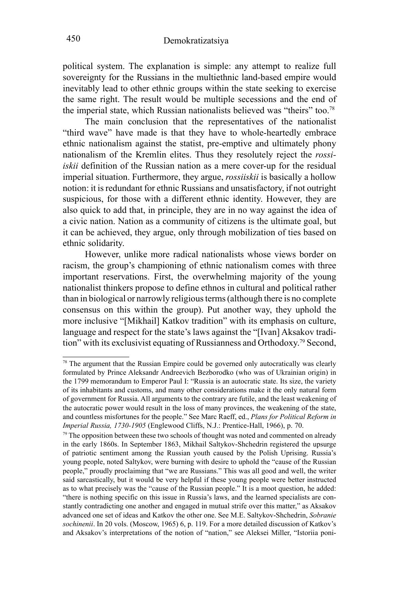political system. The explanation is simple: any attempt to realize full sovereignty for the Russians in the multiethnic land-based empire would inevitably lead to other ethnic groups within the state seeking to exercise the same right. The result would be multiple secessions and the end of the imperial state, which Russian nationalists believed was "theirs" too.<sup>78</sup>

The main conclusion that the representatives of the nationalist "third wave" have made is that they have to whole-heartedly embrace ethnic nationalism against the statist, pre-emptive and ultimately phony nationalism of the Kremlin elites. Thus they resolutely reject the *rossiiskii* definition of the Russian nation as a mere cover-up for the residual imperial situation. Furthermore, they argue, *rossiiskii* is basically a hollow notion: it is redundant for ethnic Russians and unsatisfactory, if not outright suspicious, for those with a different ethnic identity. However, they are also quick to add that, in principle, they are in no way against the idea of a civic nation. Nation as a community of citizens is the ultimate goal, but it can be achieved, they argue, only through mobilization of ties based on ethnic solidarity.

However, unlike more radical nationalists whose views border on racism, the group's championing of ethnic nationalism comes with three important reservations. First, the overwhelming majority of the young nationalist thinkers propose to define ethnos in cultural and political rather than in biological or narrowly religious terms (although there is no complete consensus on this within the group). Put another way, they uphold the more inclusive "[Mikhail] Katkov tradition" with its emphasis on culture, language and respect for the state's laws against the "[Ivan] Aksakov tradition" with its exclusivist equating of Russianness and Orthodoxy.79 Second,

 $78$  The argument that the Russian Empire could be governed only autocratically was clearly formulated by Prince Aleksandr Andreevich Bezborodko (who was of Ukrainian origin) in the 1799 memorandum to Emperor Paul I: "Russia is an autocratic state. Its size, the variety of its inhabitants and customs, and many other considerations make it the only natural form of government for Russia. All arguments to the contrary are futile, and the least weakening of the autocratic power would result in the loss of many provinces, the weakening of the state, and countless misfortunes for the people." See Marc Raeff, ed., *Plans for Political Reform in* 

<sup>&</sup>lt;sup>79</sup> The opposition between these two schools of thought was noted and commented on already in the early 1860s. In September 1863, Mikhail Saltykov-Shchedrin registered the upsurge of patriotic sentiment among the Russian youth caused by the Polish Uprising. Russia's young people, noted Saltykov, were burning with desire to uphold the "cause of the Russian people," proudly proclaiming that "we are Russians." This was all good and well, the writer said sarcastically, but it would be very helpful if these young people were better instructed as to what precisely was the "cause of the Russian people." It is a moot question, he added: "there is nothing specific on this issue in Russia's laws, and the learned specialists are constantly contradicting one another and engaged in mutual strife over this matter," as Aksakov advanced one set of ideas and Katkov the other one. See M.E. Saltykov-Shchedrin, *Sobranie sochinenii*. In 20 vols. (Moscow, 1965) 6, p. 119. For a more detailed discussion of Katkov's and Aksakov's interpretations of the notion of "nation," see Aleksei Miller, "Istoriia poni-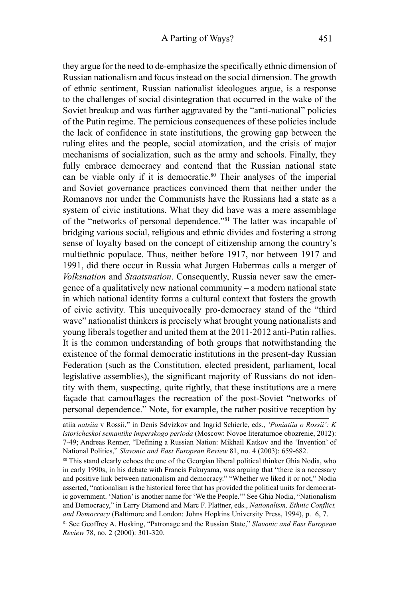they argue for the need to de-emphasize the specifically ethnic dimension of Russian nationalism and focus instead on the social dimension. The growth of ethnic sentiment, Russian nationalist ideologues argue, is a response to the challenges of social disintegration that occurred in the wake of the Soviet breakup and was further aggravated by the "anti-national" policies of the Putin regime. The pernicious consequences of these policies include the lack of confidence in state institutions, the growing gap between the ruling elites and the people, social atomization, and the crisis of major mechanisms of socialization, such as the army and schools. Finally, they fully embrace democracy and contend that the Russian national state can be viable only if it is democratic.<sup>80</sup> Their analyses of the imperial and Soviet governance practices convinced them that neither under the Romanovs nor under the Communists have the Russians had a state as a system of civic institutions. What they did have was a mere assemblage of the "networks of personal dependence."<sup>81</sup> The latter was incapable of bridging various social, religious and ethnic divides and fostering a strong sense of loyalty based on the concept of citizenship among the country's multiethnic populace. Thus, neither before 1917, nor between 1917 and 1991, did there occur in Russia what Jurgen Habermas calls a merger of *Volksnation* and *Staatsnation*. Consequently, Russia never saw the emergence of a qualitatively new national community – a modern national state in which national identity forms a cultural context that fosters the growth of civic activity. This unequivocally pro-democracy stand of the "third wave" nationalist thinkers is precisely what brought young nationalists and young liberals together and united them at the 2011-2012 anti-Putin rallies. It is the common understanding of both groups that notwithstanding the existence of the formal democratic institutions in the present-day Russian Federation (such as the Constitution, elected president, parliament, local legislative assemblies), the significant majority of Russians do not identity with them, suspecting, quite rightly, that these institutions are a mere façade that camouflages the recreation of the post-Soviet "networks of personal dependence." Note, for example, the rather positive reception by

<sup>81</sup> See Geoffrey A. Hosking, "Patronage and the Russian State," *Slavonic and East European Review* 78, no. 2 (2000): 301-320.

atiia *natsiia* v Rossii," in Denis Sdvizkov and Ingrid Schierle, eds., *'Poniatiia o Rossii': K istoricheskoi semantike imperskogo perioda* (Moscow: Novoe literaturnoe obozrenie, 2012): 7-49; Andreas Renner, "Defining a Russian Nation: Mikhail Katkov and the 'Invention' of National Politics," *Slavonic and East European Review* 81, no. 4 (2003): 659-682.

<sup>80</sup> This stand clearly echoes the one of the Georgian liberal political thinker Ghia Nodia, who in early 1990s, in his debate with Francis Fukuyama, was arguing that "there is a necessary and positive link between nationalism and democracy." "Whether we liked it or not," Nodia asserted, "nationalism is the historical force that has provided the political units for democratic government. 'Nation' is another name for 'We the People.'" See Ghia Nodia, "Nationalism and Democracy," in Larry Diamond and Marc F. Plattner, eds., *Nationalism, Ethnic Conflict, and Democracy* (Baltimore and London: Johns Hopkins University Press, 1994), p. 6, 7.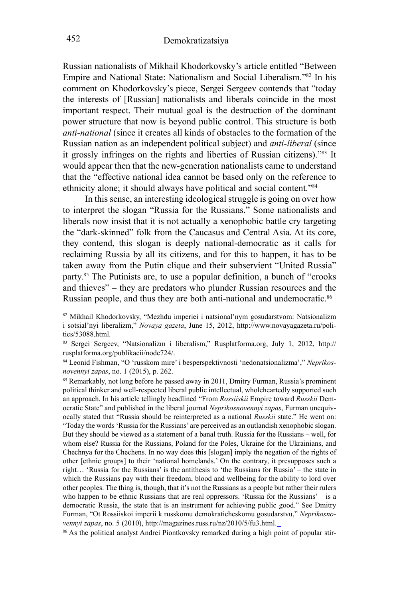Russian nationalists of Mikhail Khodorkovsky's article entitled "Between Empire and National State: Nationalism and Social Liberalism."<sup>82</sup> In his comment on Khodorkovsky's piece, Sergei Sergeev contends that "today the interests of [Russian] nationalists and liberals coincide in the most important respect. Their mutual goal is the destruction of the dominant power structure that now is beyond public control. This structure is both *anti-national* (since it creates all kinds of obstacles to the formation of the Russian nation as an independent political subject) and *anti-liberal* (since it grossly infringes on the rights and liberties of Russian citizens)."83 It would appear then that the new-generation nationalists came to understand that the "effective national idea cannot be based only on the reference to ethnicity alone; it should always have political and social content."<sup>84</sup>

In this sense, an interesting ideological struggle is going on over how to interpret the slogan "Russia for the Russians." Some nationalists and liberals now insist that it is not actually a xenophobic battle cry targeting the "dark-skinned" folk from the Caucasus and Central Asia. At its core, they contend, this slogan is deeply national-democratic as it calls for reclaiming Russia by all its citizens, and for this to happen, it has to be taken away from the Putin clique and their subservient "United Russia" party.<sup>85</sup> The Putinists are, to use a popular definition, a bunch of "crooks and thieves" – they are predators who plunder Russian resources and the Russian people, and thus they are both anti-national and undemocratic.<sup>86</sup>

<sup>82</sup> Mikhail Khodorkovsky, "Mezhdu imperiei i natsional'nym gosudarstvom: Natsionalizm i sotsial'nyi liberalizm," *Novaya gazeta*, June 15, 2012, http://www.novayagazeta.ru/politics/53088.html.

<sup>83</sup> Sergei Sergeev, "Natsionalizm i liberalism," Rusplatforma.org, July 1, 2012, http:// rusplatforma.org/publikacii/node724/.

<sup>84</sup> Leonid Fishman, "O 'russkom mire' i besperspektivnosti 'nedonatsionalizma'," *Neprikosnovennyi zapas*, no. 1 (2015), p. 262.

<sup>85</sup> Remarkably, not long before he passed away in 2011, Dmitry Furman, Russia's prominent political thinker and well-respected liberal public intellectual, wholeheartedly supported such an approach. In his article tellingly headlined "From *Rossiiskii* Empire toward *Russkii* Democratic State" and published in the liberal journal *Neprikosnovennyi zapas*, Furman unequivocally stated that "Russia should be reinterpreted as a national *Russkii* state." He went on: "Today the words 'Russia for the Russians' are perceived as an outlandish xenophobic slogan. But they should be viewed as a statement of a banal truth. Russia for the Russians – well, for whom else? Russia for the Russians, Poland for the Poles, Ukraine for the Ukrainians, and Chechnya for the Chechens. In no way does this [slogan] imply the negation of the rights of other [ethnic groups] to their 'national homelands.' On the contrary, it presupposes such a right… 'Russia for the Russians' is the antithesis to 'the Russians for Russia' – the state in which the Russians pay with their freedom, blood and wellbeing for the ability to lord over other peoples. The thing is, though, that it's not the Russians as a people but rather their rulers who happen to be ethnic Russians that are real oppressors. 'Russia for the Russians' – is a democratic Russia, the state that is an instrument for achieving public good." See Dmitry Furman, "Ot Rossiiskoi imperii k russkomu demokraticheskomu gosudarstvu," *Neprikosnovennyi zapas*, no. 5 (2010), http://magazines.russ.ru/nz/2010/5/fu3.html.<br><sup>86</sup> As the political analyst Andrei Piontkovsky remarked during a high point of popular stir-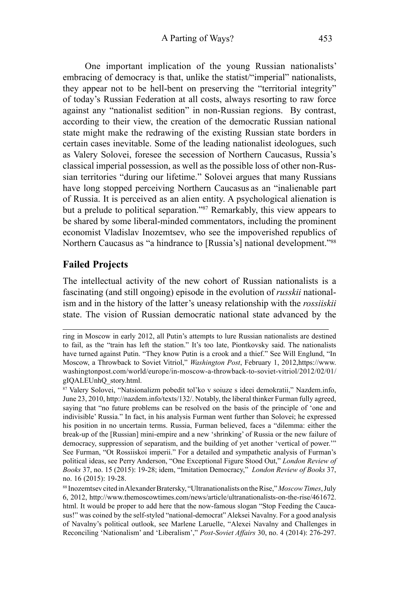One important implication of the young Russian nationalists' embracing of democracy is that, unlike the statist/"imperial" nationalists, they appear not to be hell-bent on preserving the "territorial integrity" of today's Russian Federation at all costs, always resorting to raw force against any "nationalist sedition" in non-Russian regions. By contrast, according to their view, the creation of the democratic Russian national state might make the redrawing of the existing Russian state borders in certain cases inevitable. Some of the leading nationalist ideologues, such as Valery Solovei, foresee the secession of Northern Caucasus, Russia's classical imperial possession, as well as the possible loss of other non-Russian territories "during our lifetime." Solovei argues that many Russians have long stopped perceiving Northern Caucasus as an "inalienable part of Russia. It is perceived as an alien entity. A psychological alienation is but a prelude to political separation."<sup>87</sup> Remarkably, this view appears to be shared by some liberal-minded commentators, including the prominent economist Vladislav Inozemtsev, who see the impoverished republics of Northern Caucasus as "a hindrance to [Russia's] national development."<sup>88</sup>

## **Failed Projects**

The intellectual activity of the new cohort of Russian nationalists is a fascinating (and still ongoing) episode in the evolution of *russkii* nationalism and in the history of the latter's uneasy relationship with the *rossiiskii* state. The vision of Russian democratic national state advanced by the

ring in Moscow in early 2012, all Putin's attempts to lure Russian nationalists are destined to fail, as the "train has left the station." It's too late, Piontkovsky said. The nationalists have turned against Putin. "They know Putin is a crook and a thief." See Will Englund, "In Moscow, a Throwback to Soviet Vitriol," *Washington Post*, February 1, 2012,https://www. washingtonpost.com/world/europe/in-moscow-a-throwback-to-soviet-vitriol/2012/02/01/ gIQALEUnhQ\_story.html.

<sup>87</sup> Valery Solovei, "Natsionalizm pobedit tol'ko v soiuze s ideei demokratii," Nazdem.info, June 23, 2010, http://nazdem.info/texts/132/. Notably, the liberal thinker Furman fully agreed, saying that "no future problems can be resolved on the basis of the principle of 'one and indivisible' Russia." In fact, in his analysis Furman went further than Solovei; he expressed his position in no uncertain terms. Russia, Furman believed, faces a "dilemma: either the break-up of the [Russian] mini-empire and a new 'shrinking' of Russia or the new failure of democracy, suppression of separatism, and the building of yet another 'vertical of power.'" See Furman, "Ot Rossiiskoi imperii." For a detailed and sympathetic analysis of Furman's political ideas, see Perry Anderson, "One Exceptional Figure Stood Out," *London Review of Books* 37, no. 15 (2015): 19-28; idem, "Imitation Democracy," *London Review of Books* 37, no. 16 (2015): 19-28.

<sup>88</sup> Inozemtsev cited in Alexander Bratersky, "Ultranationalists on the Rise," *Moscow Times*, July 6, 2012, http://www.themoscowtimes.com/news/article/ultranationalists-on-the-rise/461672. html. It would be proper to add here that the now-famous slogan "Stop Feeding the Caucasus!" was coined by the self-styled "national-democrat" Aleksei Navalny. For a good analysis of Navalny's political outlook, see Marlene Laruelle, "Alexei Navalny and Challenges in Reconciling 'Nationalism' and 'Liberalism'," *Post-Soviet Affairs* 30, no. 4 (2014): 276-297.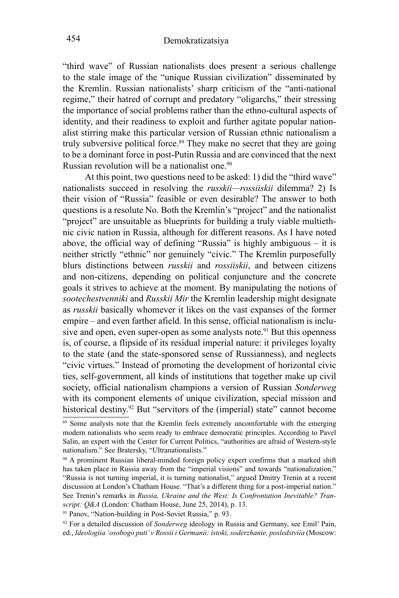"third wave" of Russian nationalists does present a serious challenge to the stale image of the "unique Russian civilization" disseminated by the Kremlin. Russian nationalists' sharp criticism of the "anti-national regime," their hatred of corrupt and predatory "oligarchs," their stressing the importance of social problems rather than the ethno-cultural aspects of identity, and their readiness to exploit and further agitate popular nationalist stirring make this particular version of Russian ethnic nationalism a truly subversive political force.<sup>89</sup> They make no secret that they are going to be a dominant force in post-Putin Russia and are convinced that the next Russian revolution will be a nationalist one.<sup>90</sup>

At this point, two questions need to be asked: 1) did the "third wave" nationalists succeed in resolving the *russkii—rossiiskii* dilemma? 2) Is their vision of "Russia" feasible or even desirable? The answer to both questions is a resolute No. Both the Kremlin's "project" and the nationalist "project" are unsuitable as blueprints for building a truly viable multiethnic civic nation in Russia, although for different reasons. As I have noted above, the official way of defining "Russia" is highly ambiguous – it is neither strictly "ethnic" nor genuinely "civic." The Kremlin purposefully blurs distinctions between *russkii* and *rossiiskii*, and between citizens and non-citizens, depending on political conjuncture and the concrete goals it strives to achieve at the moment. By manipulating the notions of *sootechestvenniki* and *Russkii Mir* the Kremlin leadership might designate as *russkii* basically whomever it likes on the vast expanses of the former empire – and even farther afield. In this sense, official nationalism is inclusive and open, even super-open as some analysts note.<sup>91</sup> But this openness is, of course, a flipside of its residual imperial nature: it privileges loyalty to the state (and the state-sponsored sense of Russianness), and neglects "civic virtues." Instead of promoting the development of horizontal civic ties, self-government, all kinds of institutions that together make up civil society, official nationalism champions a version of Russian *Sonderweg* with its component elements of unique civilization, special mission and historical destiny.<sup>92</sup> But "servitors of the (imperial) state" cannot become

<sup>&</sup>lt;sup>89</sup> Some analysts note that the Kremlin feels extremely uncomfortable with the emerging modern nationalists who seem ready to embrace democratic principles. According to Pavel Salin, an expert with the Center for Current Politics, "authorities are afraid of Western-style nationalism." See Bratersky, "Ultranationalists."

<sup>&</sup>lt;sup>90</sup> A prominent Russian liberal-minded foreign policy expert confirms that a marked shift has taken place in Russia away from the "imperial visions" and towards "nationalization." "Russia is not turning imperial, it is turning nationalist," argued Dmitry Trenin at a recent discussion at London's Chatham House. "That's a different thing for a post-imperial nation." See Trenin's remarks in *Russia, Ukraine and the West: Is Confrontation Inevitable? Transcript: Q&A* (London: Chatham House, June 25, 2014), p. 13.<br><sup>91</sup> Panov, "Nation-building in Post-Soviet Russia," p. 93.

<sup>92</sup> For a detailed discussion of *Sonderweg* ideology in Russia and Germany, see Emil' Pain, ed., *Ideologiia 'osobogo puti' v Rossii i Germanii: istoki, soderzhanie, posledstviia* (Moscow: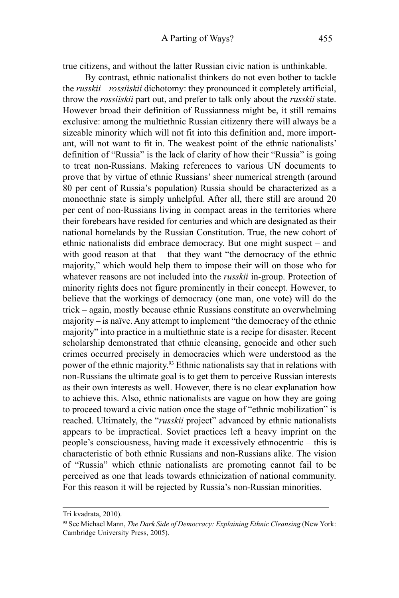true citizens, and without the latter Russian civic nation is unthinkable.

By contrast, ethnic nationalist thinkers do not even bother to tackle the *russkii—rossiiskii* dichotomy: they pronounced it completely artificial, throw the *rossiiskii* part out, and prefer to talk only about the *russkii* state. However broad their definition of Russianness might be, it still remains exclusive: among the multiethnic Russian citizenry there will always be a sizeable minority which will not fit into this definition and, more important, will not want to fit in. The weakest point of the ethnic nationalists' definition of "Russia" is the lack of clarity of how their "Russia" is going to treat non-Russians. Making references to various UN documents to prove that by virtue of ethnic Russians' sheer numerical strength (around 80 per cent of Russia's population) Russia should be characterized as a monoethnic state is simply unhelpful. After all, there still are around 20 per cent of non-Russians living in compact areas in the territories where their forebears have resided for centuries and which are designated as their national homelands by the Russian Constitution. True, the new cohort of ethnic nationalists did embrace democracy. But one might suspect – and with good reason at that – that they want "the democracy of the ethnic majority," which would help them to impose their will on those who for whatever reasons are not included into the *russkii* in-group. Protection of minority rights does not figure prominently in their concept. However, to believe that the workings of democracy (one man, one vote) will do the trick – again, mostly because ethnic Russians constitute an overwhelming majority – is naïve. Any attempt to implement "the democracy of the ethnic majority" into practice in a multiethnic state is a recipe for disaster. Recent scholarship demonstrated that ethnic cleansing, genocide and other such crimes occurred precisely in democracies which were understood as the power of the ethnic majority.93 Ethnic nationalists say that in relations with non-Russians the ultimate goal is to get them to perceive Russian interests as their own interests as well. However, there is no clear explanation how to achieve this. Also, ethnic nationalists are vague on how they are going to proceed toward a civic nation once the stage of "ethnic mobilization" is reached. Ultimately, the "*russkii* project" advanced by ethnic nationalists appears to be impractical. Soviet practices left a heavy imprint on the people's consciousness, having made it excessively ethnocentric – this is characteristic of both ethnic Russians and non-Russians alike. The vision of "Russia" which ethnic nationalists are promoting cannot fail to be perceived as one that leads towards ethnicization of national community. For this reason it will be rejected by Russia's non-Russian minorities.

Tri kvadrata, 2010).

<sup>93</sup> See Michael Mann, *The Dark Side of Democracy: Explaining Ethnic Cleansing* (New York: Cambridge University Press, 2005).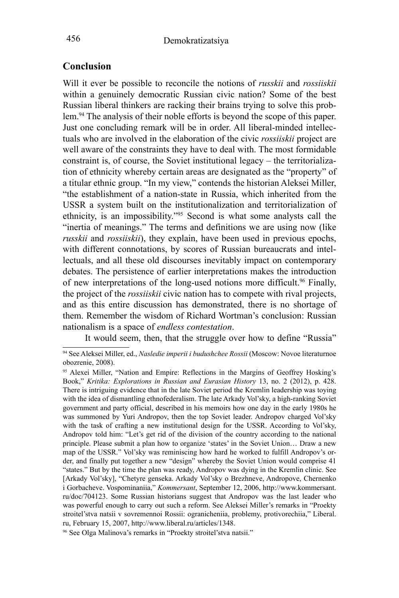### **Conclusion**

Will it ever be possible to reconcile the notions of *russkii* and *rossiiskii* within a genuinely democratic Russian civic nation? Some of the best Russian liberal thinkers are racking their brains trying to solve this problem.<sup>94</sup> The analysis of their noble efforts is beyond the scope of this paper. Just one concluding remark will be in order. All liberal-minded intellectuals who are involved in the elaboration of the civic *rossiiskii* project are well aware of the constraints they have to deal with. The most formidable constraint is, of course, the Soviet institutional legacy – the territorialization of ethnicity whereby certain areas are designated as the "property" of a titular ethnic group. "In my view," contends the historian Aleksei Miller, "the establishment of a nation-state in Russia, which inherited from the USSR a system built on the institutionalization and territorialization of ethnicity, is an impossibility."95 Second is what some analysts call the "inertia of meanings." The terms and definitions we are using now (like *russkii* and *rossiiskii*), they explain, have been used in previous epochs, with different connotations, by scores of Russian bureaucrats and intellectuals, and all these old discourses inevitably impact on contemporary debates. The persistence of earlier interpretations makes the introduction of new interpretations of the long-used notions more difficult.<sup>96</sup> Finally, the project of the *rossiiskii* civic nation has to compete with rival projects, and as this entire discussion has demonstrated, there is no shortage of them. Remember the wisdom of Richard Wortman's conclusion: Russian nationalism is a space of *endless contestation*.

It would seem, then, that the struggle over how to define "Russia"

<sup>94</sup> See Aleksei Miller, ed., *Nasledie imperii i budushchee Rossii* (Moscow: Novoe literaturnoe obozrenie, 2008).

<sup>95</sup> Alexei Miller, "Nation and Empire: Reflections in the Margins of Geoffrey Hosking's Book," *Kritika: Explorations in Russian and Eurasian History* 13, no. 2 (2012), p. 428. There is intriguing evidence that in the late Soviet period the Kremlin leadership was toying with the idea of dismantling ethnofederalism. The late Arkady Vol'sky, a high-ranking Soviet government and party official, described in his memoirs how one day in the early 1980s he was summoned by Yuri Andropov, then the top Soviet leader. Andropov charged Vol'sky with the task of crafting a new institutional design for the USSR. According to Vol'sky, Andropov told him: "Let's get rid of the division of the country according to the national principle. Please submit a plan how to organize 'states' in the Soviet Union… Draw a new map of the USSR." Vol'sky was reminiscing how hard he worked to fulfill Andropov's order, and finally put together a new "design" whereby the Soviet Union would comprise 41 "states." But by the time the plan was ready, Andropov was dying in the Kremlin clinic. See [Arkady Vol'sky], "Chetyre genseka. Arkady Vol'sky o Brezhneve, Andropove, Chernenko i Gorbacheve. Vospominaniia," *Kommersant*, September 12, 2006, http://www.kommersant. ru/doc/704123. Some Russian historians suggest that Andropov was the last leader who was powerful enough to carry out such a reform. See Aleksei Miller's remarks in "Proekty stroitel'stva natsii v sovremennoi Rossii: ogranicheniia, problemy, protivorechiia," Liberal. ru, February 15, 2007, http://www.liberal.ru/articles/1348.

<sup>96</sup> See Olga Malinova's remarks in "Proekty stroitel'stva natsii."